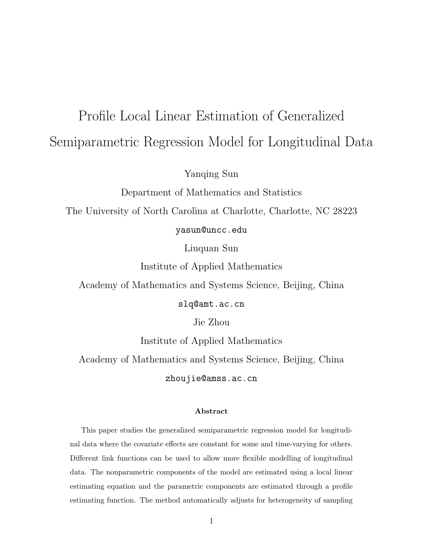# Profile Local Linear Estimation of Generalized Semiparametric Regression Model for Longitudinal Data

Yanqing Sun

Department of Mathematics and Statistics

The University of North Carolina at Charlotte, Charlotte, NC 28223

yasun@uncc.edu

Liuquan Sun

Institute of Applied Mathematics

Academy of Mathematics and Systems Science, Beijing, China

slq@amt.ac.cn

Jie Zhou

Institute of Applied Mathematics

Academy of Mathematics and Systems Science, Beijing, China

zhoujie@amss.ac.cn

#### Abstract

This paper studies the generalized semiparametric regression model for longitudinal data where the covariate effects are constant for some and time-varying for others. Different link functions can be used to allow more flexible modelling of longitudinal data. The nonparametric components of the model are estimated using a local linear estimating equation and the parametric components are estimated through a profile estimating function. The method automatically adjusts for heterogeneity of sampling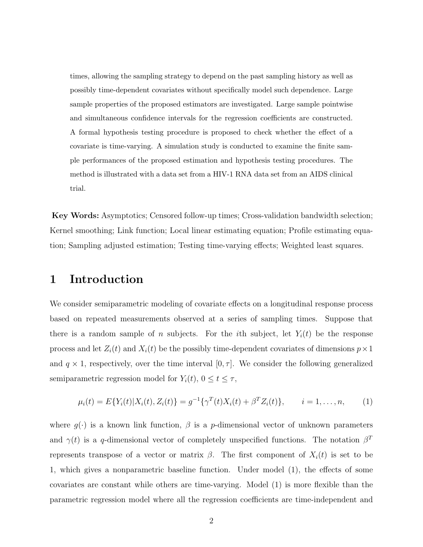times, allowing the sampling strategy to depend on the past sampling history as well as possibly time-dependent covariates without specifically model such dependence. Large sample properties of the proposed estimators are investigated. Large sample pointwise and simultaneous confidence intervals for the regression coefficients are constructed. A formal hypothesis testing procedure is proposed to check whether the effect of a covariate is time-varying. A simulation study is conducted to examine the finite sample performances of the proposed estimation and hypothesis testing procedures. The method is illustrated with a data set from a HIV-1 RNA data set from an AIDS clinical trial.

Key Words: Asymptotics; Censored follow-up times; Cross-validation bandwidth selection; Kernel smoothing; Link function; Local linear estimating equation; Profile estimating equation; Sampling adjusted estimation; Testing time-varying effects; Weighted least squares.

### 1 Introduction

We consider semiparametric modeling of covariate effects on a longitudinal response process based on repeated measurements observed at a series of sampling times. Suppose that there is a random sample of n subjects. For the *i*th subject, let  $Y_i(t)$  be the response process and let  $Z_i(t)$  and  $X_i(t)$  be the possibly time-dependent covariates of dimensions  $p \times 1$ and  $q \times 1$ , respectively, over the time interval  $[0, \tau]$ . We consider the following generalized semiparametric regression model for  $Y_i(t)$ ,  $0 \le t \le \tau$ ,

$$
\mu_i(t) = E\{Y_i(t)|X_i(t), Z_i(t)\} = g^{-1}\{\gamma^T(t)X_i(t) + \beta^T Z_i(t)\}, \qquad i = 1, \dots, n,
$$
 (1)

where  $g(\cdot)$  is a known link function,  $\beta$  is a p-dimensional vector of unknown parameters and  $\gamma(t)$  is a q-dimensional vector of completely unspecified functions. The notation  $\beta^T$ represents transpose of a vector or matrix  $\beta$ . The first component of  $X_i(t)$  is set to be 1, which gives a nonparametric baseline function. Under model (1), the effects of some covariates are constant while others are time-varying. Model (1) is more flexible than the parametric regression model where all the regression coefficients are time-independent and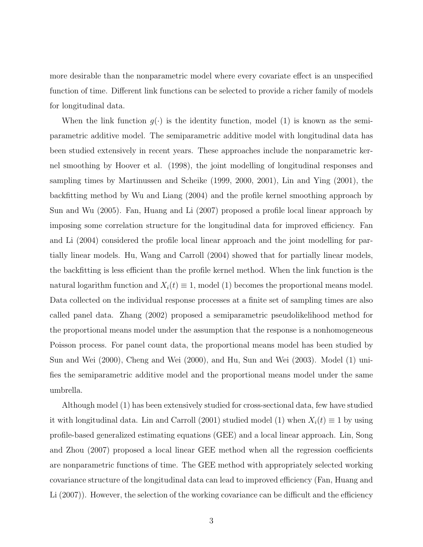more desirable than the nonparametric model where every covariate effect is an unspecified function of time. Different link functions can be selected to provide a richer family of models for longitudinal data.

When the link function  $g(\cdot)$  is the identity function, model (1) is known as the semiparametric additive model. The semiparametric additive model with longitudinal data has been studied extensively in recent years. These approaches include the nonparametric kernel smoothing by Hoover et al. (1998), the joint modelling of longitudinal responses and sampling times by Martinussen and Scheike (1999, 2000, 2001), Lin and Ying (2001), the backfitting method by Wu and Liang (2004) and the profile kernel smoothing approach by Sun and Wu (2005). Fan, Huang and Li (2007) proposed a profile local linear approach by imposing some correlation structure for the longitudinal data for improved efficiency. Fan and Li (2004) considered the profile local linear approach and the joint modelling for partially linear models. Hu, Wang and Carroll (2004) showed that for partially linear models, the backfitting is less efficient than the profile kernel method. When the link function is the natural logarithm function and  $X_i(t) \equiv 1$ , model (1) becomes the proportional means model. Data collected on the individual response processes at a finite set of sampling times are also called panel data. Zhang (2002) proposed a semiparametric pseudolikelihood method for the proportional means model under the assumption that the response is a nonhomogeneous Poisson process. For panel count data, the proportional means model has been studied by Sun and Wei (2000), Cheng and Wei (2000), and Hu, Sun and Wei (2003). Model (1) unifies the semiparametric additive model and the proportional means model under the same umbrella.

Although model (1) has been extensively studied for cross-sectional data, few have studied it with longitudinal data. Lin and Carroll (2001) studied model (1) when  $X_i(t) \equiv 1$  by using profile-based generalized estimating equations (GEE) and a local linear approach. Lin, Song and Zhou (2007) proposed a local linear GEE method when all the regression coefficients are nonparametric functions of time. The GEE method with appropriately selected working covariance structure of the longitudinal data can lead to improved efficiency (Fan, Huang and Li (2007)). However, the selection of the working covariance can be difficult and the efficiency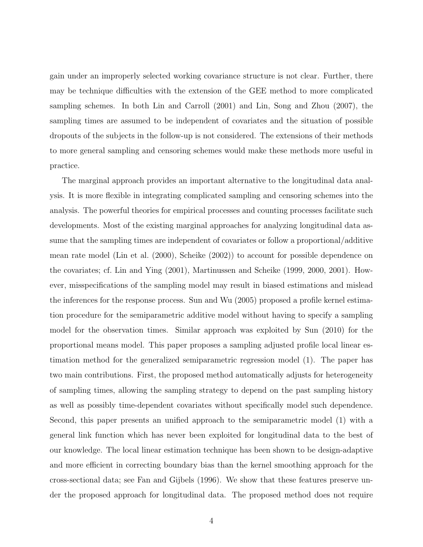gain under an improperly selected working covariance structure is not clear. Further, there may be technique difficulties with the extension of the GEE method to more complicated sampling schemes. In both Lin and Carroll (2001) and Lin, Song and Zhou (2007), the sampling times are assumed to be independent of covariates and the situation of possible dropouts of the subjects in the follow-up is not considered. The extensions of their methods to more general sampling and censoring schemes would make these methods more useful in practice.

The marginal approach provides an important alternative to the longitudinal data analysis. It is more flexible in integrating complicated sampling and censoring schemes into the analysis. The powerful theories for empirical processes and counting processes facilitate such developments. Most of the existing marginal approaches for analyzing longitudinal data assume that the sampling times are independent of covariates or follow a proportional/additive mean rate model (Lin et al. (2000), Scheike (2002)) to account for possible dependence on the covariates; cf. Lin and Ying (2001), Martinussen and Scheike (1999, 2000, 2001). However, misspecifications of the sampling model may result in biased estimations and mislead the inferences for the response process. Sun and Wu (2005) proposed a profile kernel estimation procedure for the semiparametric additive model without having to specify a sampling model for the observation times. Similar approach was exploited by Sun (2010) for the proportional means model. This paper proposes a sampling adjusted profile local linear estimation method for the generalized semiparametric regression model (1). The paper has two main contributions. First, the proposed method automatically adjusts for heterogeneity of sampling times, allowing the sampling strategy to depend on the past sampling history as well as possibly time-dependent covariates without specifically model such dependence. Second, this paper presents an unified approach to the semiparametric model (1) with a general link function which has never been exploited for longitudinal data to the best of our knowledge. The local linear estimation technique has been shown to be design-adaptive and more efficient in correcting boundary bias than the kernel smoothing approach for the cross-sectional data; see Fan and Gijbels (1996). We show that these features preserve under the proposed approach for longitudinal data. The proposed method does not require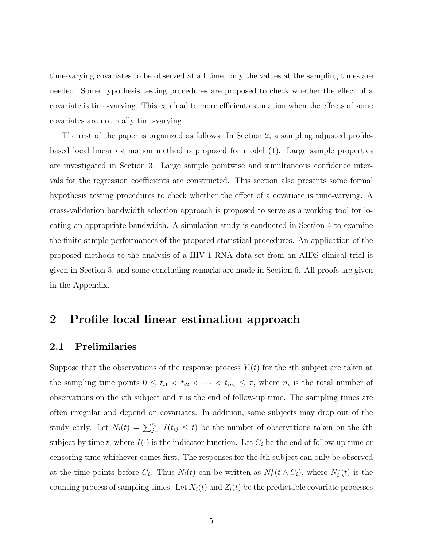time-varying covariates to be observed at all time, only the values at the sampling times are needed. Some hypothesis testing procedures are proposed to check whether the effect of a covariate is time-varying. This can lead to more efficient estimation when the effects of some covariates are not really time-varying.

The rest of the paper is organized as follows. In Section 2, a sampling adjusted profilebased local linear estimation method is proposed for model (1). Large sample properties are investigated in Section 3. Large sample pointwise and simultaneous confidence intervals for the regression coefficients are constructed. This section also presents some formal hypothesis testing procedures to check whether the effect of a covariate is time-varying. A cross-validation bandwidth selection approach is proposed to serve as a working tool for locating an appropriate bandwidth. A simulation study is conducted in Section 4 to examine the finite sample performances of the proposed statistical procedures. An application of the proposed methods to the analysis of a HIV-1 RNA data set from an AIDS clinical trial is given in Section 5, and some concluding remarks are made in Section 6. All proofs are given in the Appendix.

### 2 Profile local linear estimation approach

### 2.1 Prelimilaries

Suppose that the observations of the response process  $Y_i(t)$  for the *i*th subject are taken at the sampling time points  $0 \leq t_{i1} < t_{i2} < \cdots < t_{in_i} \leq \tau$ , where  $n_i$  is the total number of observations on the *i*th subject and  $\tau$  is the end of follow-up time. The sampling times are often irregular and depend on covariates. In addition, some subjects may drop out of the study early. Let  $N_i(t) = \sum_{j=1}^{n_i} I(t_{ij} \leq t)$  be the number of observations taken on the *i*th subject by time t, where  $I(\cdot)$  is the indicator function. Let  $C_i$  be the end of follow-up time or censoring time whichever comes first. The responses for the ith subject can only be observed at the time points before  $C_i$ . Thus  $N_i(t)$  can be written as  $N_i^*(t \wedge C_i)$ , where  $N_i^*(t)$  is the counting process of sampling times. Let  $X_i(t)$  and  $Z_i(t)$  be the predictable covariate processes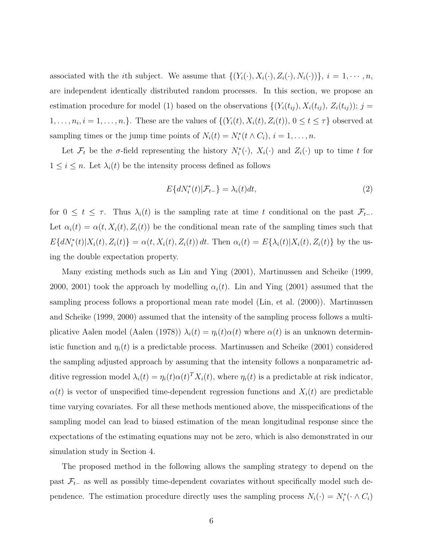associated with the *i*th subject. We assume that  $\{(Y_i(\cdot), X_i(\cdot), Z_i(\cdot), N_i(\cdot))\}, i = 1, \cdots, n$ , are independent identically distributed random processes. In this section, we propose an estimation procedure for model (1) based on the observations  $\{(Y_i(t_{ij}), X_i(t_{ij}), Z_i(t_{ij})\}; j =$  $1, \ldots, n_i, i = 1, \ldots, n.$ . These are the values of  $\{(Y_i(t), X_i(t), Z_i(t)), 0 \le t \le \tau\}$  observed at sampling times or the jump time points of  $N_i(t) = N_i^*(t \wedge C_i), i = 1, \ldots, n$ .

Let  $\mathcal{F}_t$  be the  $\sigma$ -field representing the history  $N_i^*(\cdot)$ ,  $X_i(\cdot)$  and  $Z_i(\cdot)$  up to time t for  $1 \leq i \leq n$ . Let  $\lambda_i(t)$  be the intensity process defined as follows

$$
E\{dN_i^*(t)|\mathcal{F}_{t-}\} = \lambda_i(t)dt,\tag{2}
$$

for  $0 \leq t \leq \tau$ . Thus  $\lambda_i(t)$  is the sampling rate at time t conditional on the past  $\mathcal{F}_{t-1}$ . Let  $\alpha_i(t) = \alpha(t, X_i(t), Z_i(t))$  be the conditional mean rate of the sampling times such that  $E\{dN_i^*(t)|X_i(t), Z_i(t)\} = \alpha(t, X_i(t), Z_i(t)) dt$ . Then  $\alpha_i(t) = E\{\lambda_i(t)|X_i(t), Z_i(t)\}$  by the using the double expectation property.

Many existing methods such as Lin and Ying (2001), Martinussen and Scheike (1999, 2000, 2001) took the approach by modelling  $\alpha_i(t)$ . Lin and Ying (2001) assumed that the sampling process follows a proportional mean rate model (Lin, et al. (2000)). Martinussen and Scheike (1999, 2000) assumed that the intensity of the sampling process follows a multiplicative Aalen model (Aalen (1978))  $\lambda_i(t) = \eta_i(t)\alpha(t)$  where  $\alpha(t)$  is an unknown deterministic function and  $\eta_i(t)$  is a predictable process. Martinussen and Scheike (2001) considered the sampling adjusted approach by assuming that the intensity follows a nonparametric additive regression model  $\lambda_i(t) = \eta_i(t)\alpha(t)^T X_i(t)$ , where  $\eta_i(t)$  is a predictable at risk indicator,  $\alpha(t)$  is vector of unspecified time-dependent regression functions and  $X_i(t)$  are predictable time varying covariates. For all these methods mentioned above, the misspecifications of the sampling model can lead to biased estimation of the mean longitudinal response since the expectations of the estimating equations may not be zero, which is also demonstrated in our simulation study in Section 4.

The proposed method in the following allows the sampling strategy to depend on the past  $\mathcal{F}_{t-}$  as well as possibly time-dependent covariates without specifically model such dependence. The estimation procedure directly uses the sampling process  $N_i(\cdot) = N_i^*(\cdot \wedge C_i)$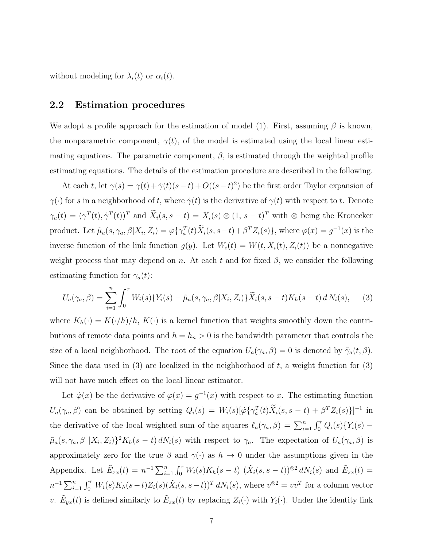without modeling for  $\lambda_i(t)$  or  $\alpha_i(t)$ .

#### 2.2 Estimation procedures

We adopt a profile approach for the estimation of model (1). First, assuming  $\beta$  is known, the nonparametric component,  $\gamma(t)$ , of the model is estimated using the local linear estimating equations. The parametric component,  $\beta$ , is estimated through the weighted profile estimating equations. The details of the estimation procedure are described in the following.

At each t, let  $\gamma(s) = \gamma(t) + \dot{\gamma}(t)(s-t) + O((s-t)^2)$  be the first order Taylor expansion of  $\gamma(\cdot)$  for s in a neighborhood of t, where  $\dot{\gamma}(t)$  is the derivative of  $\gamma(t)$  with respect to t. Denote  $\gamma_a(t) = (\gamma^T(t), \dot{\gamma}^T(t))^T$  and  $\tilde{X}_i(s, s-t) = X_i(s) \otimes (1, s-t)^T$  with  $\otimes$  being the Kronecker product. Let  $\tilde{\mu}_a(s, \gamma_a, \beta | X_i, Z_i) = \varphi\{\gamma_a^T(t) X_i(s, s-t) + \beta^T Z_i(s)\},$  where  $\varphi(x) = g^{-1}(x)$  is the inverse function of the link function  $g(y)$ . Let  $W_i(t) = W(t, X_i(t), Z_i(t))$  be a nonnegative weight process that may depend on n. At each t and for fixed  $\beta$ , we consider the following estimating function for  $\gamma_a(t)$ :

$$
U_a(\gamma_a, \beta) = \sum_{i=1}^n \int_0^\tau W_i(s) \{ Y_i(s) - \tilde{\mu}_a(s, \gamma_a, \beta | X_i, Z_i) \} \tilde{X}_i(s, s - t) K_h(s - t) d N_i(s), \tag{3}
$$

where  $K_h(\cdot) = K(\cdot/h)/h$ ,  $K(\cdot)$  is a kernel function that weights smoothly down the contributions of remote data points and  $h = h_n > 0$  is the bandwidth parameter that controls the size of a local neighborhood. The root of the equation  $U_a(\gamma_a, \beta) = 0$  is denoted by  $\tilde{\gamma}_a(t, \beta)$ . Since the data used in  $(3)$  are localized in the neighborhood of t, a weight function for  $(3)$ will not have much effect on the local linear estimator.

Let  $\dot{\varphi}(x)$  be the derivative of  $\varphi(x) = g^{-1}(x)$  with respect to x. The estimating function  $U_a(\gamma_a, \beta)$  can be obtained by setting  $Q_i(s) = W_i(s)[\dot{\varphi} {\{\gamma_a^T(t) \tilde{X}_i(s, s - t) + \beta^T Z_i(s)\}}]^{-1}$  in the derivative of the local weighted sum of the squares  $\ell_a(\gamma_a, \beta) = \sum_{i=1}^n \int_0^{\tau} Q_i(s) \{Y_i(s) \tilde{\mu}_a(s, \gamma_a, \beta \mid X_i, Z_i) \}^2 K_h(s-t) dN_i(s)$  with respect to  $\gamma_a$ . The expectation of  $U_a(\gamma_a, \beta)$  is approximately zero for the true  $\beta$  and  $\gamma(\cdot)$  as  $h \to 0$  under the assumptions given in the Appendix. Let  $\tilde{E}_{xx}(t) = n^{-1} \sum_{i=1}^{n} \int_0^{\tau} W_i(s) K_h(s-t) (\tilde{X}_i(s, s-t))^{\otimes 2} dN_i(s)$  and  $\tilde{E}_{xx}(t) =$  $n^{-1} \sum_{i=1}^{n} \int_{0}^{\tau} W_i(s) K_h(s-t) Z_i(s) (\tilde{X}_i(s, s-t))^T dN_i(s)$ , where  $v^{\otimes 2} = vv^T$  for a column vector v.  $\tilde{E}_{yx}(t)$  is defined similarly to  $\tilde{E}_{zx}(t)$  by replacing  $Z_i(\cdot)$  with  $Y_i(\cdot)$ . Under the identity link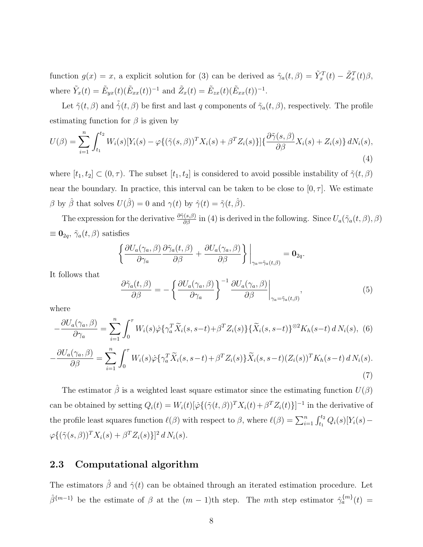function  $g(x) = x$ , a explicit solution for (3) can be derived as  $\tilde{\gamma}_a(t,\beta) = \tilde{Y}_x^T(t) - \tilde{Z}_x^T(t)\beta$ , where  $\tilde{Y}_x(t) = \tilde{E}_{yx}(t) (\tilde{E}_{xx}(t))^{-1}$  and  $\tilde{Z}_x(t) = \tilde{E}_{zx}(t) (\tilde{E}_{xx}(t))^{-1}$ .

Let  $\tilde{\gamma}(t, \beta)$  and  $\tilde{\gamma}(t, \beta)$  be first and last q components of  $\tilde{\gamma}_a(t, \beta)$ , respectively. The profile estimating function for  $\beta$  is given by

$$
U(\beta) = \sum_{i=1}^{n} \int_{t_1}^{t_2} W_i(s) [Y_i(s) - \varphi \{ (\tilde{\gamma}(s, \beta))^T X_i(s) + \beta^T Z_i(s) \}] \{ \frac{\partial \tilde{\gamma}(s, \beta)}{\partial \beta} X_i(s) + Z_i(s) \} dN_i(s),
$$
\n(4)

where  $[t_1, t_2] \subset (0, \tau)$ . The subset  $[t_1, t_2]$  is considered to avoid possible instability of  $\tilde{\gamma}(t, \beta)$ near the boundary. In practice, this interval can be taken to be close to  $[0, \tau]$ . We estimate  $\beta$  by  $\hat{\beta}$  that solves  $U(\hat{\beta}) = 0$  and  $\gamma(t)$  by  $\hat{\gamma}(t) = \tilde{\gamma}(t, \hat{\beta})$ .

The expression for the derivative  $\frac{\partial \tilde{\gamma}(s,\beta)}{\partial \beta}$  in (4) is derived in the following. Since  $U_a(\tilde{\gamma}_a(t,\beta),\beta)$  $\equiv \mathbf{0}_{2q}, \, \tilde{\gamma}_a(t, \beta)$  satisfies

$$
\left\{\frac{\partial U_a(\gamma_a,\beta)}{\partial \gamma_a} \frac{\partial \tilde{\gamma}_a(t,\beta)}{\partial \beta} + \frac{\partial U_a(\gamma_a,\beta)}{\partial \beta}\right\}\bigg|_{\gamma_a = \tilde{\gamma}_a(t,\beta)} = \mathbf{0}_{2q}.
$$

It follows that

$$
\frac{\partial \tilde{\gamma}_a(t,\beta)}{\partial \beta} = -\left\{ \frac{\partial U_a(\gamma_a,\beta)}{\partial \gamma_a} \right\}^{-1} \left. \frac{\partial U_a(\gamma_a,\beta)}{\partial \beta} \right|_{\gamma_a = \tilde{\gamma}_a(t,\beta)},\tag{5}
$$

(7)

where

$$
-\frac{\partial U_a(\gamma_a, \beta)}{\partial \gamma_a} = \sum_{i=1}^n \int_0^\tau W_i(s) \dot{\varphi} \{ \gamma_a^T \tilde{X}_i(s, s-t) + \beta^T Z_i(s) \} \{ \tilde{X}_i(s, s-t) \}^{\otimes 2} K_h(s-t) d N_i(s), \tag{6}
$$

$$
-\frac{\partial U_a(\gamma_a, \beta)}{\partial \beta} = \sum_{i=1}^n \int_0^\tau W_i(s) \dot{\varphi} \{ \gamma_a^T \tilde{X}_i(s, s-t) + \beta^T Z_i(s) \} \tilde{X}_i(s, s-t) (Z_i(s))^T K_h(s-t) d N_i(s).
$$

The estimator  $\hat{\beta}$  is a weighted least square estimator since the estimating function  $U(\beta)$ can be obtained by setting  $Q_i(t) = W_i(t)[\dot{\varphi}\{(\tilde{\gamma}(t,\beta))^T X_i(t) + \beta^T Z_i(t)\}]^{-1}$  in the derivative of the profile least squares function  $\ell(\beta)$  with respect to  $\beta$ , where  $\ell(\beta) = \sum_{i=1}^n \int_{t_1}^{t_2} Q_i(s)[Y_i(s) \varphi\{(\tilde{\gamma}(s,\beta))^T X_i(s) + \beta^T Z_i(s)\}^2 d N_i(s).$ 

### 2.3 Computational algorithm

The estimators  $\hat{\beta}$  and  $\hat{\gamma}(t)$  can be obtained through an iterated estimation procedure. Let  $\hat{\beta}^{\{m-1\}}$  be the estimate of  $\beta$  at the  $(m-1)$ th step. The mth step estimator  $\hat{\gamma}_a^{\{m\}}(t)$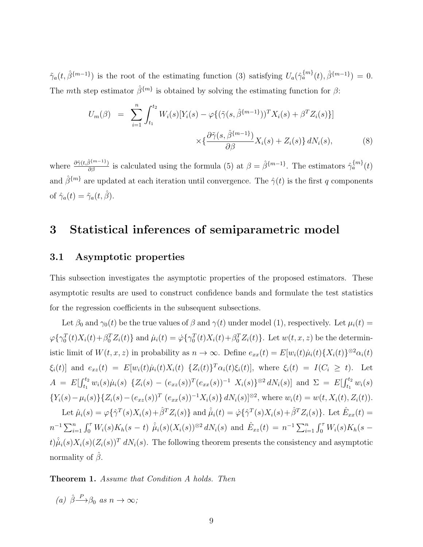$\tilde{\gamma}_a(t, \hat{\beta}^{\{m-1\}})$  is the root of the estimating function (3) satisfying  $U_a(\hat{\gamma}_a^{\{m\}}(t), \hat{\beta}^{\{m-1\}}) = 0$ . The mth step estimator  $\hat{\beta}^{\{m\}}$  is obtained by solving the estimating function for  $\beta$ :

$$
U_m(\beta) = \sum_{i=1}^n \int_{t_1}^{t_2} W_i(s) [Y_i(s) - \varphi \{ (\tilde{\gamma}(s, \hat{\beta}^{\{m-1\}}))^T X_i(s) + \beta^T Z_i(s) \}] \times \{ \frac{\partial \tilde{\gamma}(s, \hat{\beta}^{\{m-1\}})}{\partial \beta} X_i(s) + Z_i(s) \} dN_i(s), \tag{8}
$$

where  $\frac{\partial \tilde{\gamma}(t,\hat{\beta}^{\{m-1\}})}{\partial \beta}$  is calculated using the formula (5) at  $\beta = \hat{\beta}^{\{m-1\}}$ . The estimators  $\hat{\gamma}_a^{\{m\}}(t)$ and  $\hat{\beta}^{\{m\}}$  are updated at each iteration until convergence. The  $\hat{\gamma}(t)$  is the first q components of  $\hat{\gamma}_a(t) = \tilde{\gamma}_a(t, \hat{\beta}).$ 

# 3 Statistical inferences of semiparametric model

### 3.1 Asymptotic properties

This subsection investigates the asymptotic properties of the proposed estimators. These asymptotic results are used to construct confidence bands and formulate the test statistics for the regression coefficients in the subsequent subsections.

Let  $\beta_0$  and  $\gamma_0(t)$  be the true values of  $\beta$  and  $\gamma(t)$  under model (1), respectively. Let  $\mu_i(t)$  $\varphi\{\gamma_0^T(t)X_i(t)+\beta_0^T Z_i(t)\}\$ and  $\mu_i(t)=\dot{\varphi}\{\gamma_0^T(t)X_i(t)+\beta_0^T Z_i(t)\}\$ . Let  $w(t, x, z)$  be the deterministic limit of  $W(t, x, z)$  in probability as  $n \to \infty$ . Define  $e_{xx}(t) = E[w_i(t)\mu_i(t) \{X_i(t)\}^{\otimes 2} \alpha_i(t)$  $\xi_i(t)$  and  $e_{xz}(t) = E[w_i(t)\mu_i(t)X_i(t) \{Z_i(t)\}^T \alpha_i(t)\xi_i(t)],$  where  $\xi_i(t) = I(C_i \geq t)$ . Let  $A = E[\int_{t_1}^{t_2} w_i(s)\mu_i(s) \{Z_i(s) - (e_{xz}(s))^T (e_{xx}(s))^{-1} X_i(s)\}^{\otimes 2} dN_i(s)]$  and  $\Sigma = E[\int_{t_1}^{t_2} w_i(s) \mu_i(s) \{Z_i(s) - (e_{xz}(s))^T (e_{xx}(s))^{-1} X_i(s)\}^{\otimes 2} dN_i(s)]$  ${Y_i(s) - \mu_i(s)}{Z_i(s) - (e_{xz}(s))^T (e_{xx}(s))^{-1}X_i(s)} dN_i(s)$ <sup>[⊗2</sup>, where  $w_i(t) = w(t, X_i(t), Z_i(t))$ . Let  $\hat{\mu}_i(s) = \varphi\{\hat{\gamma}^T(s)X_i(s) + \hat{\beta}^T Z_i(s)\}\$ and  $\hat{\mu}_i(t) = \dot{\varphi}\{\hat{\gamma}^T(s)X_i(s) + \hat{\beta}^T Z_i(s)\}\$ . Let  $\hat{E}_{xx}(t) =$  $n^{-1} \sum_{i=1}^{n} \int_{0}^{\tau} W_{i}(s) K_{h}(s-t) \hat{\mu}_{i}(s) (X_{i}(s))^{\otimes 2} dN_{i}(s)$  and  $\hat{E}_{xz}(t) = n^{-1} \sum_{i=1}^{n} \int_{0}^{\tau} W_{i}(s) K_{h}(s-t)$  $t) \hat{\mu}_i(s) X_i(s) (Z_i(s))^T dN_i(s)$ . The following theorem presents the consistency and asymptotic normality of  $\hat{\beta}$ .

**Theorem 1.** Assume that Condition A holds. Then

(a)  $\hat{\beta} \rightarrow \beta_0$  as  $n \rightarrow \infty$ ;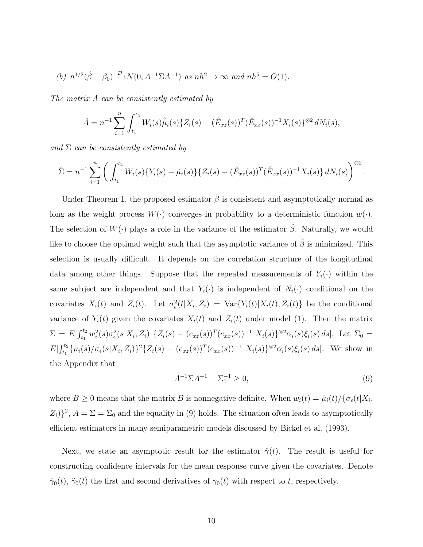(b) 
$$
n^{1/2}(\hat{\beta} - \beta_0) \xrightarrow{\mathcal{D}} N(0, A^{-1} \Sigma A^{-1})
$$
 as  $nh^2 \to \infty$  and  $nh^5 = O(1)$ .

The matrix A can be consistently estimated by

$$
\hat{A} = n^{-1} \sum_{i=1}^{n} \int_{t_1}^{t_2} W_i(s) \hat{\mu}_i(s) \{Z_i(s) - (\hat{E}_{xz}(s))^T (\hat{E}_{xx}(s))^{-1} X_i(s)\}^{\otimes 2} dN_i(s),
$$

and  $\Sigma$  can be consistently estimated by

$$
\hat{\Sigma} = n^{-1} \sum_{i=1}^{n} \left( \int_{t_1}^{t_2} W_i(s) \{ Y_i(s) - \hat{\mu}_i(s) \} \{ Z_i(s) - (\hat{E}_{xz}(s))^{T} (\hat{E}_{xx}(s))^{-1} X_i(s) \} dN_i(s) \right)^{\otimes 2}.
$$

Under Theorem 1, the proposed estimator  $\hat{\beta}$  is consistent and asymptotically normal as long as the weight process  $W(\cdot)$  converges in probability to a deterministic function  $w(\cdot)$ . The selection of  $W(\cdot)$  plays a role in the variance of the estimator  $\hat{\beta}$ . Naturally, we would like to choose the optimal weight such that the asymptotic variance of  $\hat{\beta}$  is minimized. This selection is usually difficult. It depends on the correlation structure of the longitudinal data among other things. Suppose that the repeated measurements of  $Y_i(\cdot)$  within the same subject are independent and that  $Y_i(\cdot)$  is independent of  $N_i(\cdot)$  conditional on the covariates  $X_i(t)$  and  $Z_i(t)$ . Let  $\sigma_{\epsilon}^2(t|X_i, Z_i) = \text{Var}\{Y_i(t)|X_i(t), Z_i(t)\}\)$  be the conditional variance of  $Y_i(t)$  given the covariates  $X_i(t)$  and  $Z_i(t)$  under model (1). Then the matrix  $\Sigma = E[\int_{t_1}^{t_2} w_i^2(s)\sigma_{\epsilon}^2(s|X_i, Z_i) \{Z_i(s) - (e_{xz}(s))^T(e_{xx}(s))^{-1} X_i(s)\}^{\otimes 2} \alpha_i(s)\xi_i(s) ds].$  Let  $\Sigma_0 =$  $E[\int_{t_1}^{t_2} {\{\mu_i(s)/\sigma_{\epsilon}(s|X_i, Z_i)\}}^2 {\{Z_i(s) - (e_{xz}(s))^T(e_{xx}(s))^{-1} |X_i(s)\}^{\otimes 2} \alpha_i(s)\xi_i(s) ds}].$  We show in the Appendix that

$$
A^{-1} \Sigma A^{-1} - \Sigma_0^{-1} \ge 0,\tag{9}
$$

where  $B \ge 0$  means that the matrix B is nonnegative definite. When  $w_i(t) = \mu_i(t)/\{\sigma_{\epsilon}(t|X_i,$  $Z_i$ ) $\}^2$ ,  $A = \Sigma = \Sigma_0$  and the equality in (9) holds. The situation often leads to asymptotically efficient estimators in many semiparametric models discussed by Bickel et al. (1993).

Next, we state an asymptotic result for the estimator  $\hat{\gamma}(t)$ . The result is useful for constructing confidence intervals for the mean response curve given the covariates. Denote  $\dot{\gamma}_0(t)$ ,  $\ddot{\gamma}_0(t)$  the first and second derivatives of  $\gamma_0(t)$  with respect to t, respectively.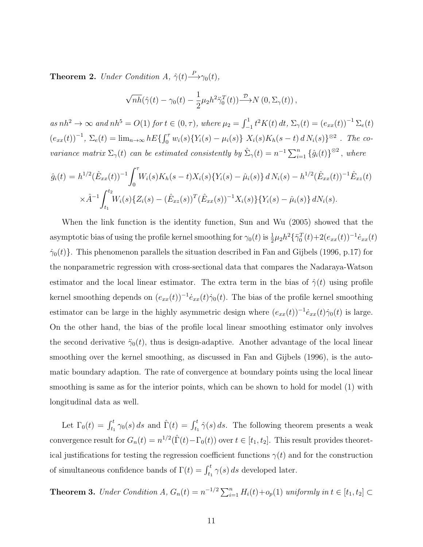**Theorem 2.** Under Condition A,  $\hat{\gamma}(t) \stackrel{P}{\longrightarrow} \gamma_0(t)$ ,

$$
\sqrt{nh}(\hat{\gamma}(t)-\gamma_0(t)-\frac{1}{2}\mu_2h^2\ddot{\gamma}_0^T(t))\overset{\mathcal{D}}{\longrightarrow}N(0,\Sigma_\gamma(t)),
$$

as  $nh^2 \to \infty$  and  $nh^5 = O(1)$  for  $t \in (0, \tau)$ , where  $\mu_2 = \int_{-1}^{1} t^2 K(t) dt$ ,  $\Sigma_{\gamma}(t) = (e_{xx}(t))^{-1} \Sigma_e(t)$  $(e_{xx}(t))^{-1}$ ,  $\Sigma_e(t) = \lim_{n \to \infty} hE\{ \int_0^{\tau} w_i(s) \{ Y_i(s) - \mu_i(s) \} X_i(s) K_h(s-t) d N_i(s) \}^{\otimes 2}$ . The covariance matrix  $\Sigma_{\gamma}(t)$  can be estimated consistently by  $\hat{\Sigma}_{\gamma}(t) = n^{-1} \sum_{i=1}^{n} {\hat{g}_i(t)}^{\otimes 2}$ , where

$$
\hat{g}_i(t) = h^{1/2} (\hat{E}_{xx}(t))^{-1} \int_0^{\tau} W_i(s) K_h(s-t) X_i(s) \{ Y_i(s) - \hat{\mu}_i(s) \} dN_i(s) - h^{1/2} (\hat{E}_{xx}(t))^{-1} \hat{E}_{xz}(t)
$$
  

$$
\times \hat{A}^{-1} \int_{t_1}^{t_2} W_i(s) \{ Z_i(s) - (\hat{E}_{xz}(s))^T (\hat{E}_{xx}(s))^{-1} X_i(s) \} \{ Y_i(s) - \hat{\mu}_i(s) \} dN_i(s).
$$

When the link function is the identity function, Sun and Wu (2005) showed that the asymptotic bias of using the profile kernel smoothing for  $\gamma_0(t)$  is  $\frac{1}{2}\mu_2h^2\{\ddot{\gamma}_0^T(t)+2(e_{xx}(t))^{-1}\dot{e}_{xx}(t)$  $\dot{\gamma}_0(t)$ . This phenomenon parallels the situation described in Fan and Gijbels (1996, p.17) for the nonparametric regression with cross-sectional data that compares the Nadaraya-Watson estimator and the local linear estimator. The extra term in the bias of  $\hat{\gamma}(t)$  using profile kernel smoothing depends on  $(e_{xx}(t))^{-1} \dot{e}_{xx}(t) \dot{\gamma}_0(t)$ . The bias of the profile kernel smoothing estimator can be large in the highly asymmetric design where  $(e_{xx}(t))^{-1}e_{xx}(t)\dot{\gamma}_0(t)$  is large. On the other hand, the bias of the profile local linear smoothing estimator only involves the second derivative  $\ddot{\gamma}_0(t)$ , thus is design-adaptive. Another advantage of the local linear smoothing over the kernel smoothing, as discussed in Fan and Gijbels (1996), is the automatic boundary adaption. The rate of convergence at boundary points using the local linear smoothing is same as for the interior points, which can be shown to hold for model (1) with longitudinal data as well.

Let  $\Gamma_0(t) = \int_{t_1}^t \gamma_0(s) ds$  and  $\hat{\Gamma}(t) = \int_{t_1}^t \hat{\gamma}(s) ds$ . The following theorem presents a weak convergence result for  $G_n(t) = n^{1/2}(\hat{\Gamma}(t) - \Gamma_0(t))$  over  $t \in [t_1, t_2]$ . This result provides theoretical justifications for testing the regression coefficient functions  $\gamma(t)$  and for the construction of simultaneous confidence bands of  $\Gamma(t) = \int_{t_1}^t \gamma(s) ds$  developed later.

**Theorem 3.** Under Condition A,  $G_n(t) = n^{-1/2} \sum_{i=1}^n H_i(t) + o_p(1)$  uniformly in  $t \in [t_1, t_2]$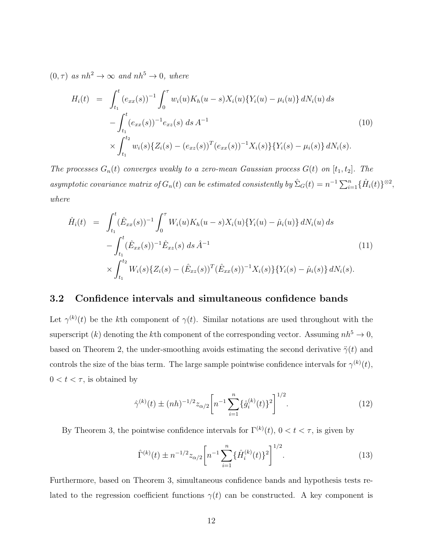$(0, \tau)$  as  $nh^2 \to \infty$  and  $nh^5 \to 0$ , where

$$
H_i(t) = \int_{t_1}^t (e_{xx}(s))^{-1} \int_0^\tau w_i(u) K_h(u-s) X_i(u) \{ Y_i(u) - \mu_i(u) \} dN_i(u) ds
$$
  

$$
- \int_{t_1}^t (e_{xx}(s))^{-1} e_{xz}(s) ds A^{-1}
$$
  

$$
\times \int_{t_1}^{t_2} w_i(s) \{ Z_i(s) - (e_{xz}(s))^T (e_{xx}(s))^{-1} X_i(s) \} \{ Y_i(s) - \mu_i(s) \} dN_i(s).
$$
 (10)

The processes  $G_n(t)$  converges weakly to a zero-mean Gaussian process  $G(t)$  on  $[t_1, t_2]$ . The asymptotic covariance matrix of  $G_n(t)$  can be estimated consistently by  $\hat{\Sigma}_G(t) = n^{-1} \sum_{i=1}^n {\{\hat{H}_i(t)\}}^{\otimes 2}$ , where

$$
\hat{H}_i(t) = \int_{t_1}^t (\hat{E}_{xx}(s))^{-1} \int_0^\tau W_i(u) K_h(u-s) X_i(u) \{ Y_i(u) - \hat{\mu}_i(u) \} dN_i(u) ds \n- \int_{t_1}^t (\hat{E}_{xx}(s))^{-1} \hat{E}_{xz}(s) ds \hat{A}^{-1} \n\times \int_{t_1}^{t_2} W_i(s) \{ Z_i(s) - (\hat{E}_{xz}(s))^T (\hat{E}_{xx}(s))^{-1} X_i(s) \} \{ Y_i(s) - \hat{\mu}_i(s) \} dN_i(s).
$$
\n(11)

#### 3.2 Confidence intervals and simultaneous confidence bands

Let  $\gamma^{(k)}(t)$  be the kth component of  $\gamma(t)$ . Similar notations are used throughout with the superscript  $(k)$  denoting the kth component of the corresponding vector. Assuming  $nh^5 \rightarrow 0$ , based on Theorem 2, the under-smoothing avoids estimating the second derivative  $\ddot{\gamma}(t)$  and controls the size of the bias term. The large sample pointwise confidence intervals for  $\gamma^{(k)}(t)$ ,  $0 < t < \tau$ , is obtained by

$$
\hat{\gamma}^{(k)}(t) \pm (nh)^{-1/2} z_{\alpha/2} \left[ n^{-1} \sum_{i=1}^{n} \{ \hat{g}_i^{(k)}(t) \}^2 \right]^{1/2}.
$$
 (12)

By Theorem 3, the pointwise confidence intervals for  $\Gamma^{(k)}(t)$ ,  $0 < t < \tau$ , is given by

$$
\hat{\Gamma}^{(k)}(t) \pm n^{-1/2} z_{\alpha/2} \left[ n^{-1} \sum_{i=1}^{n} \{ \hat{H}_i^{(k)}(t) \}^2 \right]^{1/2}.
$$
\n(13)

Furthermore, based on Theorem 3, simultaneous confidence bands and hypothesis tests related to the regression coefficient functions  $\gamma(t)$  can be constructed. A key component is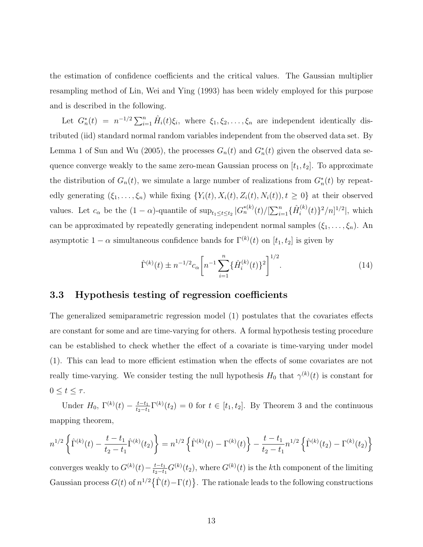the estimation of confidence coefficients and the critical values. The Gaussian multiplier resampling method of Lin, Wei and Ying (1993) has been widely employed for this purpose and is described in the following.

Let  $G_n^*(t) = n^{-1/2} \sum_{i=1}^n \hat{H}_i(t) \xi_i$ , where  $\xi_1, \xi_2, \ldots, \xi_n$  are independent identically distributed (iid) standard normal random variables independent from the observed data set. By Lemma 1 of Sun and Wu (2005), the processes  $G_n(t)$  and  $G_n^*(t)$  given the observed data sequence converge weakly to the same zero-mean Gaussian process on  $[t_1, t_2]$ . To approximate the distribution of  $G_n(t)$ , we simulate a large number of realizations from  $G_n^*(t)$  by repeatedly generating  $(\xi_1, \ldots, \xi_n)$  while fixing  $\{Y_i(t), X_i(t), Z_i(t), N_i(t)\}$ ,  $t \geq 0\}$  at their observed values. Let  $c_{\alpha}$  be the  $(1 - \alpha)$ -quantile of  $\sup_{t_1 \leq t \leq t_2} |G_n^{*(k)}(t)| \left[\sum_{i=1}^n \{\hat{H}_i^{(k)}\}_{i=1}^n\right]$  $\binom{k}{i}(t)^2/n]^{1/2}$ , which can be approximated by repeatedly generating independent normal samples  $(\xi_1, \ldots, \xi_n)$ . An asymptotic  $1 - \alpha$  simultaneous confidence bands for  $\Gamma^{(k)}(t)$  on  $[t_1, t_2]$  is given by

$$
\hat{\Gamma}^{(k)}(t) \pm n^{-1/2} c_{\alpha} \left[ n^{-1} \sum_{i=1}^{n} \{ \hat{H}_i^{(k)}(t) \}^2 \right]^{1/2}.
$$
\n(14)

### 3.3 Hypothesis testing of regression coefficients

The generalized semiparametric regression model (1) postulates that the covariates effects are constant for some and are time-varying for others. A formal hypothesis testing procedure can be established to check whether the effect of a covariate is time-varying under model (1). This can lead to more efficient estimation when the effects of some covariates are not really time-varying. We consider testing the null hypothesis  $H_0$  that  $\gamma^{(k)}(t)$  is constant for  $0 \leq t \leq \tau$ .

Under  $H_0$ ,  $\Gamma^{(k)}(t) - \frac{t-t_1}{t_2-t_1}$  $\frac{t-t_1}{t_2-t_1}\Gamma^{(k)}(t_2) = 0$  for  $t \in [t_1, t_2]$ . By Theorem 3 and the continuous mapping theorem,

$$
n^{1/2}\left\{\hat{\Gamma}^{(k)}(t) - \frac{t - t_1}{t_2 - t_1}\hat{\Gamma}^{(k)}(t_2)\right\} = n^{1/2}\left\{\hat{\Gamma}^{(k)}(t) - \Gamma^{(k)}(t)\right\} - \frac{t - t_1}{t_2 - t_1}n^{1/2}\left\{\hat{\Gamma}^{(k)}(t_2) - \Gamma^{(k)}(t_2)\right\}
$$

converges weakly to  $G^{(k)}(t) - \frac{t-t_1}{t_2-t_1}$  $\frac{t-t_1}{t_2-t_1} G^{(k)}(t_2)$ , where  $G^{(k)}(t)$  is the kth component of the limiting Gaussian process  $G(t)$  of  $n^{1/2} {\hat{\Gamma}(t)-\Gamma(t)}$ . The rationale leads to the following constructions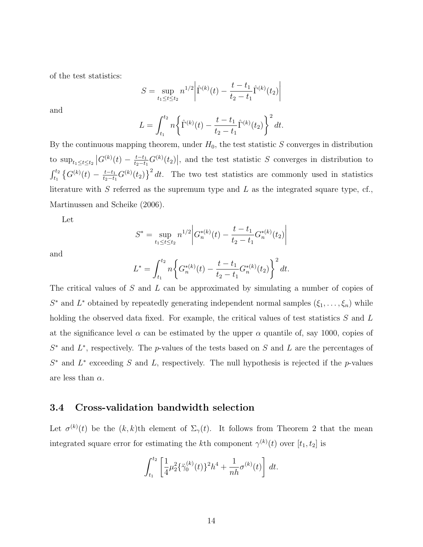of the test statistics:

$$
S = \sup_{t_1 \le t \le t_2} n^{1/2} \left| \hat{\Gamma}^{(k)}(t) - \frac{t - t_1}{t_2 - t_1} \hat{\Gamma}^{(k)}(t_2) \right|
$$

and

$$
L = \int_{t_1}^{t_2} n \left\{ \hat{\Gamma}^{(k)}(t) - \frac{t - t_1}{t_2 - t_1} \hat{\Gamma}^{(k)}(t_2) \right\}^2 dt.
$$

By the continuous mapping theorem, under  $H_0$ , the test statistic S converges in distribution to  $\sup_{t_1 \le t \le t_2} |G^{(k)}(t) - \frac{t-t_1}{t_2-t_1}|$  $\frac{t-t_1}{t_2-t_1}G^{(k)}(t_2)$ , and the test statistic S converges in distribution to  $\int_{t_1}^{t_2} \left\{ G^{(k)}(t) \,-\, \frac{t-t_1}{t_2-t_1} \right\}$  $\frac{t-t_1}{t_2-t_1}G^{(k)}(t_2)\}^2 dt$ . The two test statistics are commonly used in statistics literature with  $S$  referred as the supremum type and  $L$  as the integrated square type, cf., Martinussen and Scheike (2006).

Let

$$
S^* = \sup_{t_1 \le t \le t_2} n^{1/2} \left| G_n^{*(k)}(t) - \frac{t - t_1}{t_2 - t_1} G_n^{*(k)}(t_2) \right|
$$

and

$$
L^* = \int_{t_1}^{t_2} n \bigg\{ G_n^{*(k)}(t) - \frac{t - t_1}{t_2 - t_1} G_n^{*(k)}(t_2) \bigg\}^2 dt.
$$

The critical values of S and L can be approximated by simulating a number of copies of  $S^*$  and  $L^*$  obtained by repeatedly generating independent normal samples  $(\xi_1, \ldots, \xi_n)$  while holding the observed data fixed. For example, the critical values of test statistics S and L at the significance level  $\alpha$  can be estimated by the upper  $\alpha$  quantile of, say 1000, copies of  $S^*$  and  $L^*$ , respectively. The p-values of the tests based on S and L are the percentages of  $S^*$  and  $L^*$  exceeding S and L, respectively. The null hypothesis is rejected if the p-values are less than  $\alpha$ .

### 3.4 Cross-validation bandwidth selection

Let  $\sigma^{(k)}(t)$  be the  $(k, k)$ th element of  $\Sigma_{\gamma}(t)$ . It follows from Theorem 2 that the mean integrated square error for estimating the k<sup>th</sup> component  $\gamma^{(k)}(t)$  over  $[t_1, t_2]$  is

$$
\int_{t_1}^{t_2} \left[ \frac{1}{4} \mu_2^2 \{ \ddot{\gamma}_0^{(k)}(t) \}^2 h^4 + \frac{1}{nh} \sigma^{(k)}(t) \right] dt.
$$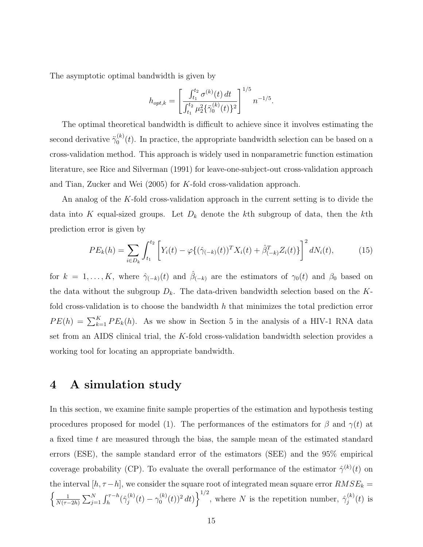The asymptotic optimal bandwidth is given by

$$
h_{opt,k} = \left[ \frac{\int_{t_1}^{t_2} \sigma^{(k)}(t) dt}{\int_{t_1}^{t_2} \mu_2^2 \{ \ddot{\gamma}_0^{(k)}(t) \}^2} \right]^{1/5} n^{-1/5}.
$$

The optimal theoretical bandwidth is difficult to achieve since it involves estimating the second derivative  $\ddot{\gamma}_0^{(k)}$  $\binom{N}{0}(t)$ . In practice, the appropriate bandwidth selection can be based on a cross-validation method. This approach is widely used in nonparametric function estimation literature, see Rice and Silverman (1991) for leave-one-subject-out cross-validation approach and Tian, Zucker and Wei (2005) for K-fold cross-validation approach.

An analog of the K-fold cross-validation approach in the current setting is to divide the data into K equal-sized groups. Let  $D_k$  denote the kth subgroup of data, then the kth prediction error is given by

$$
PE_k(h) = \sum_{i \in D_k} \int_{t_1}^{t_2} \left[ Y_i(t) - \varphi \{ (\hat{\gamma}_{(-k)}(t))^T X_i(t) + \hat{\beta}_{(-k)}^T Z_i(t) \} \right]^2 dN_i(t), \tag{15}
$$

for  $k = 1, \ldots, K$ , where  $\hat{\gamma}_{(-k)}(t)$  and  $\hat{\beta}_{(-k)}$  are the estimators of  $\gamma_0(t)$  and  $\beta_0$  based on the data without the subgroup  $D_k$ . The data-driven bandwidth selection based on the Kfold cross-validation is to choose the bandwidth  $h$  that minimizes the total prediction error  $PE(h) = \sum_{k=1}^{K} PE_k(h)$ . As we show in Section 5 in the analysis of a HIV-1 RNA data set from an AIDS clinical trial, the  $K$ -fold cross-validation bandwidth selection provides a working tool for locating an appropriate bandwidth.

# 4 A simulation study

In this section, we examine finite sample properties of the estimation and hypothesis testing procedures proposed for model (1). The performances of the estimators for  $\beta$  and  $\gamma(t)$  at a fixed time t are measured through the bias, the sample mean of the estimated standard errors (ESE), the sample standard error of the estimators (SEE) and the 95% empirical coverage probability (CP). To evaluate the overall performance of the estimator  $\hat{\gamma}^{(k)}(t)$  on the interval  $[h, \tau - h]$ , we consider the square root of integrated mean square error  $RMSE_k =$  $\int$   $\frac{1}{2}$  $\frac{1}{N(\tau-2h)}\sum_{j=1}^N\int_h^{\tau-h}(\hat{\gamma}_j^{(k)}% )d\mu(s)$  $\gamma_j^{(k)}(t)-\gamma_0^{(k)}$  $\binom{k}{0}(t)^2 dt$   $\bigg\}^{\frac{1}{2}}$ , where N is the repetition number,  $\hat{\gamma}_j^{(k)}$  $j^{(\kappa)}(t)$  is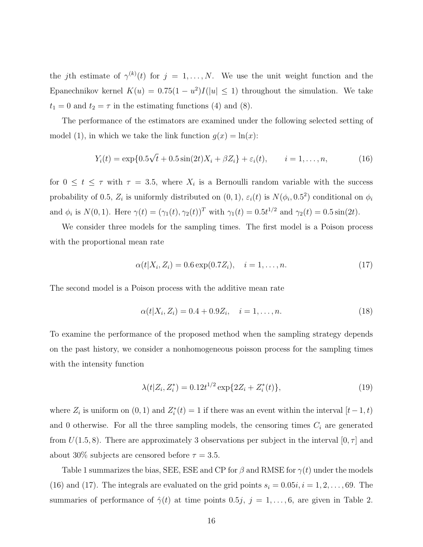the jth estimate of  $\gamma^{(k)}(t)$  for  $j = 1, \ldots, N$ . We use the unit weight function and the Epanechnikov kernel  $K(u) = 0.75(1 - u^2)I(|u| \le 1)$  throughout the simulation. We take  $t_1 = 0$  and  $t_2 = \tau$  in the estimating functions (4) and (8).

The performance of the estimators are examined under the following selected setting of model (1), in which we take the link function  $g(x) = \ln(x)$ :

$$
Y_i(t) = \exp\{0.5\sqrt{t} + 0.5\sin(2t)X_i + \beta Z_i\} + \varepsilon_i(t), \qquad i = 1, ..., n,
$$
 (16)

for  $0 \le t \le \tau$  with  $\tau = 3.5$ , where  $X_i$  is a Bernoulli random variable with the success probability of 0.5,  $Z_i$  is uniformly distributed on  $(0, 1)$ ,  $\varepsilon_i(t)$  is  $N(\phi_i, 0.5^2)$  conditional on  $\phi_i$ and  $\phi_i$  is  $N(0, 1)$ . Here  $\gamma(t) = (\gamma_1(t), \gamma_2(t))^T$  with  $\gamma_1(t) = 0.5t^{1/2}$  and  $\gamma_2(t) = 0.5 \sin(2t)$ .

We consider three models for the sampling times. The first model is a Poison process with the proportional mean rate

$$
\alpha(t|X_i, Z_i) = 0.6 \exp(0.7Z_i), \quad i = 1, \dots, n. \tag{17}
$$

The second model is a Poison process with the additive mean rate

$$
\alpha(t|X_i, Z_i) = 0.4 + 0.9Z_i, \quad i = 1, \dots, n. \tag{18}
$$

To examine the performance of the proposed method when the sampling strategy depends on the past history, we consider a nonhomogeneous poisson process for the sampling times with the intensity function

$$
\lambda(t|Z_i, Z_i^*) = 0.12t^{1/2} \exp\{2Z_i + Z_i^*(t)\},\tag{19}
$$

where  $Z_i$  is uniform on  $(0, 1)$  and  $Z_i^*(t) = 1$  if there was an event within the interval  $[t-1, t)$ and 0 otherwise. For all the three sampling models, the censoring times  $C_i$  are generated from  $U(1.5, 8)$ . There are approximately 3 observations per subject in the interval  $[0, \tau]$  and about 30% subjects are censored before  $\tau = 3.5$ .

Table 1 summarizes the bias, SEE, ESE and CP for  $\beta$  and RMSE for  $\gamma(t)$  under the models (16) and (17). The integrals are evaluated on the grid points  $s_i = 0.05i, i = 1, 2, \ldots, 69$ . The summaries of performance of  $\hat{\gamma}(t)$  at time points 0.5*j*,  $j = 1, ..., 6$ , are given in Table 2.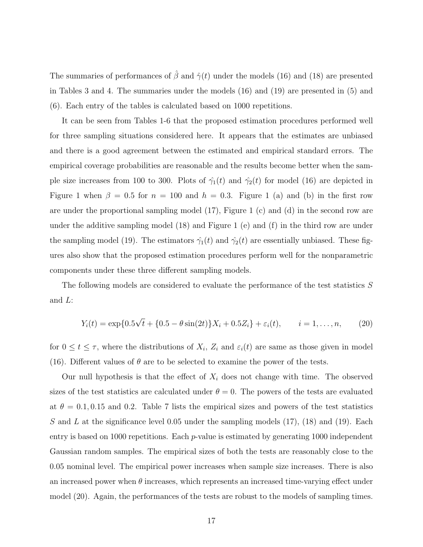The summaries of performances of  $\hat{\beta}$  and  $\hat{\gamma}(t)$  under the models (16) and (18) are presented in Tables 3 and 4. The summaries under the models (16) and (19) are presented in (5) and (6). Each entry of the tables is calculated based on 1000 repetitions.

It can be seen from Tables 1-6 that the proposed estimation procedures performed well for three sampling situations considered here. It appears that the estimates are unbiased and there is a good agreement between the estimated and empirical standard errors. The empirical coverage probabilities are reasonable and the results become better when the sample size increases from 100 to 300. Plots of  $\hat{\gamma}_1(t)$  and  $\hat{\gamma}_2(t)$  for model (16) are depicted in Figure 1 when  $\beta = 0.5$  for  $n = 100$  and  $h = 0.3$ . Figure 1 (a) and (b) in the first row are under the proportional sampling model (17), Figure 1 (c) and (d) in the second row are under the additive sampling model (18) and Figure 1 (e) and (f) in the third row are under the sampling model (19). The estimators  $\hat{\gamma}_1(t)$  and  $\hat{\gamma}_2(t)$  are essentially unbiased. These figures also show that the proposed estimation procedures perform well for the nonparametric components under these three different sampling models.

The following models are considered to evaluate the performance of the test statistics S and L:

$$
Y_i(t) = \exp\{0.5\sqrt{t} + \{0.5 - \theta \sin(2t)\}X_i + 0.5Z_i\} + \varepsilon_i(t), \qquad i = 1, \dots, n,
$$
 (20)

for  $0 \le t \le \tau$ , where the distributions of  $X_i$ ,  $Z_i$  and  $\varepsilon_i(t)$  are same as those given in model (16). Different values of  $\theta$  are to be selected to examine the power of the tests.

Our null hypothesis is that the effect of  $X_i$  does not change with time. The observed sizes of the test statistics are calculated under  $\theta = 0$ . The powers of the tests are evaluated at  $\theta = 0.1, 0.15$  and 0.2. Table 7 lists the empirical sizes and powers of the test statistics S and L at the significance level 0.05 under the sampling models  $(17)$ ,  $(18)$  and  $(19)$ . Each entry is based on 1000 repetitions. Each *p*-value is estimated by generating 1000 independent Gaussian random samples. The empirical sizes of both the tests are reasonably close to the 0.05 nominal level. The empirical power increases when sample size increases. There is also an increased power when  $\theta$  increases, which represents an increased time-varying effect under model (20). Again, the performances of the tests are robust to the models of sampling times.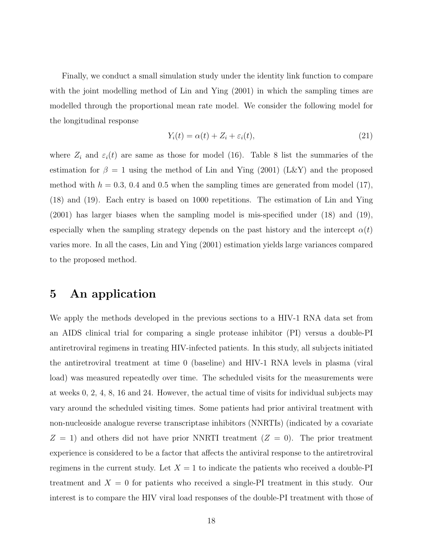Finally, we conduct a small simulation study under the identity link function to compare with the joint modelling method of Lin and Ying  $(2001)$  in which the sampling times are modelled through the proportional mean rate model. We consider the following model for the longitudinal response

$$
Y_i(t) = \alpha(t) + Z_i + \varepsilon_i(t),\tag{21}
$$

where  $Z_i$  and  $\varepsilon_i(t)$  are same as those for model (16). Table 8 list the summaries of the estimation for  $\beta = 1$  using the method of Lin and Ying (2001) (L&Y) and the proposed method with  $h = 0.3, 0.4$  and 0.5 when the sampling times are generated from model (17), (18) and (19). Each entry is based on 1000 repetitions. The estimation of Lin and Ying (2001) has larger biases when the sampling model is mis-specified under (18) and (19), especially when the sampling strategy depends on the past history and the intercept  $\alpha(t)$ varies more. In all the cases, Lin and Ying (2001) estimation yields large variances compared to the proposed method.

### 5 An application

We apply the methods developed in the previous sections to a HIV-1 RNA data set from an AIDS clinical trial for comparing a single protease inhibitor (PI) versus a double-PI antiretroviral regimens in treating HIV-infected patients. In this study, all subjects initiated the antiretroviral treatment at time 0 (baseline) and HIV-1 RNA levels in plasma (viral load) was measured repeatedly over time. The scheduled visits for the measurements were at weeks 0, 2, 4, 8, 16 and 24. However, the actual time of visits for individual subjects may vary around the scheduled visiting times. Some patients had prior antiviral treatment with non-nucleoside analogue reverse transcriptase inhibitors (NNRTIs) (indicated by a covariate  $Z = 1$ ) and others did not have prior NNRTI treatment  $(Z = 0)$ . The prior treatment experience is considered to be a factor that affects the antiviral response to the antiretroviral regimens in the current study. Let  $X = 1$  to indicate the patients who received a double-PI treatment and  $X = 0$  for patients who received a single-PI treatment in this study. Our interest is to compare the HIV viral load responses of the double-PI treatment with those of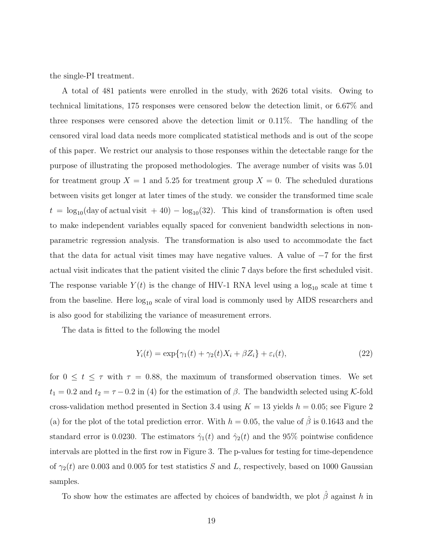the single-PI treatment.

A total of 481 patients were enrolled in the study, with 2626 total visits. Owing to technical limitations, 175 responses were censored below the detection limit, or 6.67% and three responses were censored above the detection limit or 0.11%. The handling of the censored viral load data needs more complicated statistical methods and is out of the scope of this paper. We restrict our analysis to those responses within the detectable range for the purpose of illustrating the proposed methodologies. The average number of visits was 5.01 for treatment group  $X = 1$  and 5.25 for treatment group  $X = 0$ . The scheduled durations between visits get longer at later times of the study. we consider the transformed time scale  $t = \log_{10}(\text{day of actual visit} + 40) - \log_{10}(32)$ . This kind of transformation is often used to make independent variables equally spaced for convenient bandwidth selections in nonparametric regression analysis. The transformation is also used to accommodate the fact that the data for actual visit times may have negative values. A value of  $-7$  for the first actual visit indicates that the patient visited the clinic 7 days before the first scheduled visit. The response variable  $Y(t)$  is the change of HIV-1 RNA level using a  $log_{10}$  scale at time t from the baseline. Here  $log_{10}$  scale of viral load is commonly used by AIDS researchers and is also good for stabilizing the variance of measurement errors.

The data is fitted to the following the model

$$
Y_i(t) = \exp\{\gamma_1(t) + \gamma_2(t)X_i + \beta Z_i\} + \varepsilon_i(t),\tag{22}
$$

for  $0 \le t \le \tau$  with  $\tau = 0.88$ , the maximum of transformed observation times. We set  $t_1 = 0.2$  and  $t_2 = \tau - 0.2$  in (4) for the estimation of  $\beta$ . The bandwidth selected using K-fold cross-validation method presented in Section 3.4 using  $K = 13$  yields  $h = 0.05$ ; see Figure 2 (a) for the plot of the total prediction error. With  $h = 0.05$ , the value of  $\hat{\beta}$  is 0.1643 and the standard error is 0.0230. The estimators  $\hat{\gamma}_1(t)$  and  $\hat{\gamma}_2(t)$  and the 95% pointwise confidence intervals are plotted in the first row in Figure 3. The p-values for testing for time-dependence of  $\gamma_2(t)$  are 0.003 and 0.005 for test statistics S and L, respectively, based on 1000 Gaussian samples.

To show how the estimates are affected by choices of bandwidth, we plot  $\hat{\beta}$  against h in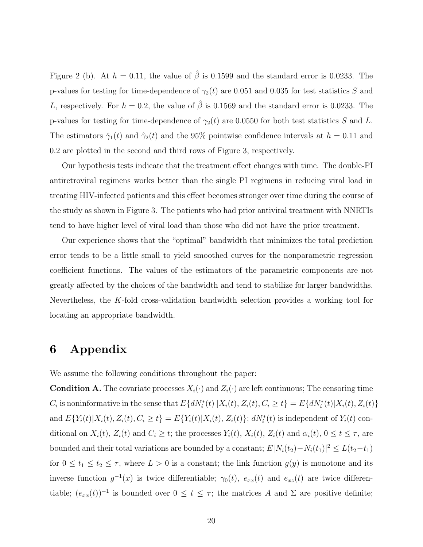Figure 2 (b). At  $h = 0.11$ , the value of  $\hat{\beta}$  is 0.1599 and the standard error is 0.0233. The p-values for testing for time-dependence of  $\gamma_2(t)$  are 0.051 and 0.035 for test statistics S and L, respectively. For  $h = 0.2$ , the value of  $\hat{\beta}$  is 0.1569 and the standard error is 0.0233. The p-values for testing for time-dependence of  $\gamma_2(t)$  are 0.0550 for both test statistics S and L. The estimators  $\hat{\gamma}_1(t)$  and  $\hat{\gamma}_2(t)$  and the 95% pointwise confidence intervals at  $h = 0.11$  and 0.2 are plotted in the second and third rows of Figure 3, respectively.

Our hypothesis tests indicate that the treatment effect changes with time. The double-PI antiretroviral regimens works better than the single PI regimens in reducing viral load in treating HIV-infected patients and this effect becomes stronger over time during the course of the study as shown in Figure 3. The patients who had prior antiviral treatment with NNRTIs tend to have higher level of viral load than those who did not have the prior treatment.

Our experience shows that the "optimal" bandwidth that minimizes the total prediction error tends to be a little small to yield smoothed curves for the nonparametric regression coefficient functions. The values of the estimators of the parametric components are not greatly affected by the choices of the bandwidth and tend to stabilize for larger bandwidths. Nevertheless, the K-fold cross-validation bandwidth selection provides a working tool for locating an appropriate bandwidth.

### 6 Appendix

We assume the following conditions throughout the paper:

**Condition A.** The covariate processes  $X_i(\cdot)$  and  $Z_i(\cdot)$  are left continuous; The censoring time  $C_i$  is noninformative in the sense that  $E\{dN_i^*(t) | X_i(t), Z_i(t), C_i \ge t\} = E\{dN_i^*(t) | X_i(t), Z_i(t)\}$ and  $E\{Y_i(t)|X_i(t), Z_i(t), C_i \ge t\} = E\{Y_i(t)|X_i(t), Z_i(t)\}; dN_i^*(t)$  is independent of  $Y_i(t)$  conditional on  $X_i(t)$ ,  $Z_i(t)$  and  $C_i \geq t$ ; the processes  $Y_i(t)$ ,  $X_i(t)$ ,  $Z_i(t)$  and  $\alpha_i(t)$ ,  $0 \leq t \leq \tau$ , are bounded and their total variations are bounded by a constant;  $E[N_i(t_2) - N_i(t_1)]^2 \le L(t_2 - t_1)$ for  $0 \le t_1 \le t_2 \le \tau$ , where  $L > 0$  is a constant; the link function  $g(y)$  is monotone and its inverse function  $g^{-1}(x)$  is twice differentiable;  $\gamma_0(t)$ ,  $e_{xx}(t)$  and  $e_{xz}(t)$  are twice differentiable;  $(e_{xx}(t))^{-1}$  is bounded over  $0 \le t \le \tau$ ; the matrices A and  $\Sigma$  are positive definite;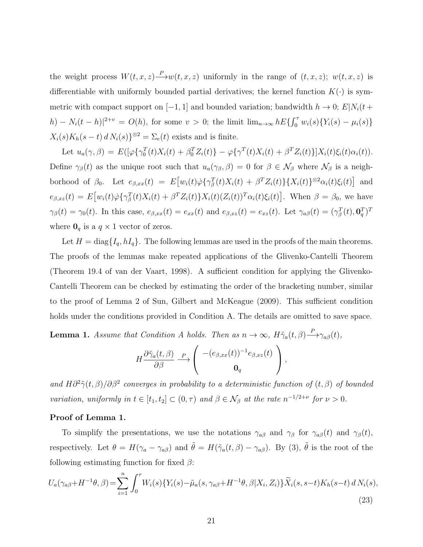the weight process  $W(t, x, z) \longrightarrow w(t, x, z)$  uniformly in the range of  $(t, x, z)$ ;  $w(t, x, z)$  is differentiable with uniformly bounded partial derivatives; the kernel function  $K(\cdot)$  is symmetric with compact support on [−1, 1] and bounded variation; bandwidth  $h \to 0$ ;  $E|N_i(t +$ h) –  $N_i(t-h)|^{2+v} = O(h)$ , for some  $v > 0$ ; the limit  $\lim_{n\to\infty} hE\{ \int_0^{\tau} w_i(s) \{ Y_i(s) - \mu_i(s) \}$  $X_i(s)K_h(s-t) d N_i(s)$ <sup>82</sup> =  $\Sigma_e(t)$  exists and is finite.

Let  $u_a(\gamma, \beta) = E([\varphi \{\gamma_0^T(t)X_i(t) + \beta_0^T Z_i(t)\} - \varphi \{\gamma^T(t)X_i(t) + \beta^T Z_i(t)\}]X_i(t)\xi_i(t)\alpha_i(t)).$ Define  $\gamma_{\beta}(t)$  as the unique root such that  $u_a(\gamma_{\beta}, \beta) = 0$  for  $\beta \in \mathcal{N}_{\beta}$  where  $\mathcal{N}_{\beta}$  is a neighborhood of  $\beta_0$ . Let  $e_{\beta,xx}(t) = E[w_i(t)\dot{\varphi}\{\gamma_{\beta}^T(t)X_i(t) + \beta^T Z_i(t)\}\{X_i(t)\}^{\otimes 2}\alpha_i(t)\xi_i(t)]$  and  $e_{\beta,xz}(t) = E\big[w_i(t)\dot{\varphi}\big\{\gamma_{\beta}^{T}(t)X_i(t) + \beta^{T}Z_i(t)\big\}X_i(t)(Z_i(t))^T\alpha_i(t)\xi_i(t)\big].$  When  $\beta = \beta_0$ , we have  $\gamma_{\beta}(t) = \gamma_0(t)$ . In this case,  $e_{\beta,xx}(t) = e_{xx}(t)$  and  $e_{\beta,xz}(t) = e_{xz}(t)$ . Let  $\gamma_{a\beta}(t) = (\gamma_{\beta}^T(t), \mathbf{0}_q^T)^T$ where  $\mathbf{0}_q$  is a  $q \times 1$  vector of zeros.

Let  $H = \text{diag}\{I_q, hI_q\}$ . The following lemmas are used in the proofs of the main theorems. The proofs of the lemmas make repeated applications of the Glivenko-Cantelli Theorem (Theorem 19.4 of van der Vaart, 1998). A sufficient condition for applying the Glivenko-Cantelli Theorem can be checked by estimating the order of the bracketing number, similar to the proof of Lemma 2 of Sun, Gilbert and McKeague (2009). This sufficient condition holds under the conditions provided in Condition A. The details are omitted to save space.

**Lemma 1.** Assume that Condition A holds. Then as  $n \to \infty$ ,  $H\tilde{\gamma}_a(t,\beta) \stackrel{P}{\longrightarrow} \gamma_{a\beta}(t)$ ,

$$
H \frac{\partial \tilde{\gamma}_a(t,\beta)}{\partial \beta} \stackrel{P}{\longrightarrow} \left( \begin{array}{c} -(e_{\beta,xx}(t))^{-1} e_{\beta,xz}(t) \\ \mathbf{0}_q \end{array} \right),
$$

and  $H\partial^2 \tilde{\gamma}(t,\beta)/\partial\beta^2$  converges in probability to a deterministic function of  $(t,\beta)$  of bounded variation, uniformly in  $t \in [t_1, t_2] \subset (0, \tau)$  and  $\beta \in \mathcal{N}_{\beta}$  at the rate  $n^{-1/2+\nu}$  for  $\nu > 0$ .

#### Proof of Lemma 1.

To simplify the presentations, we use the notations  $\gamma_{\alpha\beta}$  and  $\gamma_{\beta}$  for  $\gamma_{\alpha\beta}(t)$  and  $\gamma_{\beta}(t)$ , respectively. Let  $\theta = H(\gamma_a - \gamma_{a\beta})$  and  $\tilde{\theta} = H(\tilde{\gamma}_a(t,\beta) - \gamma_{a\beta})$ . By (3),  $\tilde{\theta}$  is the root of the following estimating function for fixed  $\beta$ :

$$
U_a(\gamma_{a\beta} + H^{-1}\theta, \beta) = \sum_{i=1}^n \int_0^\tau W_i(s) \{ Y_i(s) - \tilde{\mu}_a(s, \gamma_{a\beta} + H^{-1}\theta, \beta | X_i, Z_i) \} \tilde{X}_i(s, s - t) K_h(s - t) dN_i(s),
$$
\n(23)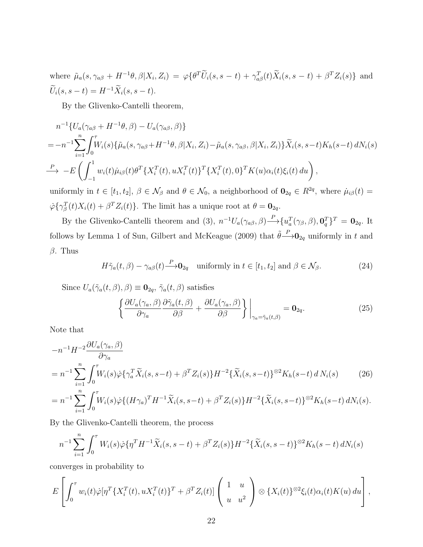where  $\tilde{\mu}_a(s, \gamma_{a\beta} + H^{-1}\theta, \beta | X_i, Z_i) = \varphi\{\theta^T \tilde{U}_i(s, s - t) + \gamma_{a\beta}^T(t) \tilde{X}_i(s, s - t) + \beta^T Z_i(s)\}\$ and  $\widetilde{U}_i(s, s-t) = H^{-1} \widetilde{X}_i(s, s-t).$ 

By the Glivenko-Cantelli theorem,

$$
n^{-1}\{U_a(\gamma_{a\beta} + H^{-1}\theta, \beta) - U_a(\gamma_{a\beta}, \beta)\}
$$
  
=  $-n^{-1}\sum_{i=1}^n \int_0^{\tau} W_i(s)\{\tilde{\mu}_a(s, \gamma_{a\beta} + H^{-1}\theta, \beta | X_i, Z_i) - \tilde{\mu}_a(s, \gamma_{a\beta}, \beta | X_i, Z_i)\}\tilde{X}_i(s, s-t)K_h(s-t) dN_i(s)$   
 $\xrightarrow{P} -E\left(\int_{-1}^1 w_i(t)\tilde{\mu}_{i\beta}(t)\theta^T\{X_i^T(t), uX_i^T(t)\}^T\{X_i^T(t), 0\}^T K(u)\alpha_i(t)\xi_i(t) du\right),$ 

uniformly in  $t \in [t_1, t_2], \beta \in \mathcal{N}_{\beta}$  and  $\theta \in \mathcal{N}_0$ , a neighborhood of  $\mathbf{0}_{2q} \in R^{2q}$ , where  $\mu_{i\beta}(t) =$  $\dot{\varphi} \{\gamma_{\beta}^{T}(t)X_{i}(t) + \beta^{T}Z_{i}(t)\}.$  The limit has a unique root at  $\theta = \mathbf{0}_{2q}$ .

By the Glivenko-Cantelli theorem and (3),  $n^{-1}U_a(\gamma_{a\beta}, \beta) \rightarrow^P \{u_a^T(\gamma_{\beta}, \beta), \mathbf{0}_q^T\}^T = \mathbf{0}_{2q}$ . It follows by Lemma 1 of Sun, Gilbert and McKeague (2009) that  $\tilde{\theta} \rightarrow 0_{2q}$  uniformly in t and  $\beta$ . Thus

$$
H\tilde{\gamma}_a(t,\beta) - \gamma_{a\beta}(t) \stackrel{P}{\longrightarrow} \mathbf{0}_{2q} \quad \text{uniformly in } t \in [t_1, t_2] \text{ and } \beta \in \mathcal{N}_{\beta}.
$$
 (24)

Since  $U_a(\tilde{\gamma}_a(t,\beta),\beta) \equiv \mathbf{0}_{2q}, \tilde{\gamma}_a(t,\beta)$  satisfies

$$
\left\{ \frac{\partial U_a(\gamma_a, \beta)}{\partial \gamma_a} \frac{\partial \tilde{\gamma}_a(t, \beta)}{\partial \beta} + \frac{\partial U_a(\gamma_a, \beta)}{\partial \beta} \right\} \bigg|_{\gamma_a = \tilde{\gamma}_a(t, \beta)} = \mathbf{0}_{2q}.
$$
 (25)

Note that

$$
-n^{-1}H^{-2}\frac{\partial U_a(\gamma_a,\beta)}{\partial \gamma_a}
$$
  
= 
$$
n^{-1}\sum_{i=1}^n \int_0^{\tau} W_i(s)\dot{\varphi}\{\gamma_a^T\tilde{X}_i(s,s-t) + \beta^T Z_i(s)\}H^{-2}\{\tilde{X}_i(s,s-t)\}^{\otimes 2}K_h(s-t) dN_i(s)
$$
 (26)

$$
= n^{-1} \sum_{i=1}^n \int_0^{\tau} W_i(s) \dot{\varphi} \{ (H \gamma_a)^T H^{-1} \tilde{X}_i(s, s-t) + \beta^T Z_i(s) \} H^{-2} \{ \tilde{X}_i(s, s-t) \}^{\otimes 2} K_h(s-t) dN_i(s).
$$

By the Glivenko-Cantelli theorem, the process

$$
n^{-1} \sum_{i=1}^{n} \int_{0}^{\tau} W_{i}(s) \dot{\varphi} \{ \eta^{T} H^{-1} \tilde{X}_{i}(s, s-t) + \beta^{T} Z_{i}(s) \} H^{-2} \{ \tilde{X}_{i}(s, s-t) \}^{\otimes 2} K_{h}(s-t) dN_{i}(s)
$$

converges in probability to

$$
E\left[\int_0^\tau w_i(t)\dot{\varphi}[\eta^T\{X_i^T(t), uX_i^T(t)\}^T + \beta^T Z_i(t)]\left(\begin{array}{c}1 & u\\ u & u^2\end{array}\right)\otimes \{X_i(t)\}^{\otimes 2}\xi_i(t)\alpha_i(t)K(u)\,du\right],
$$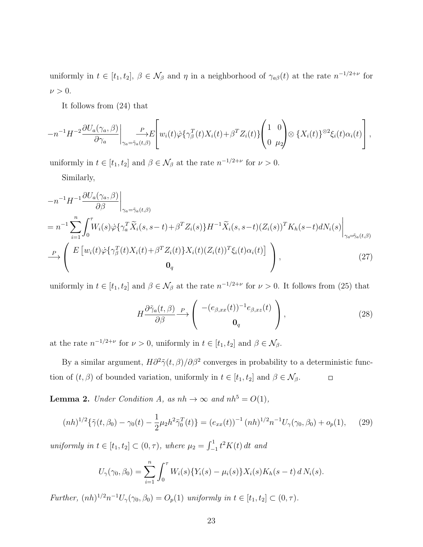uniformly in  $t \in [t_1, t_2], \beta \in \mathcal{N}_{\beta}$  and  $\eta$  in a neighborhood of  $\gamma_{a\beta}(t)$  at the rate  $n^{-1/2+\nu}$  for  $\nu > 0$ .

It follows from (24) that

$$
-n^{-1}H^{-2}\frac{\partial U_a(\gamma_a,\beta)}{\partial \gamma_a}\bigg|_{\gamma_a=\tilde{\gamma}_a(t,\beta)}\left[w_i(t)\dot{\varphi}\{\gamma_\beta^T(t)X_i(t)+\beta^TZ_i(t)\}\left(\begin{matrix}1&0\\0&\mu_2\end{matrix}\right)\otimes\{X_i(t)\}^{\otimes 2}\xi_i(t)\alpha_i(t)\right],
$$

uniformly in  $t \in [t_1, t_2]$  and  $\beta \in \mathcal{N}_{\beta}$  at the rate  $n^{-1/2+\nu}$  for  $\nu > 0$ .

Similarly,

$$
-n^{-1}H^{-1}\frac{\partial U_a(\gamma_a,\beta)}{\partial \beta}\Big|_{\gamma_a=\tilde{\gamma}_a(t,\beta)}
$$
  
=  $n^{-1}\sum_{i=1}^n \int_0^\tau W_i(s)\dot{\varphi}\{\gamma_a^T\tilde{X}_i(s,s-t)+\beta^T Z_i(s)\}H^{-1}\tilde{X}_i(s,s-t)(Z_i(s))^T K_h(s-t)dN_i(s)\Big|_{\gamma_a=\tilde{\gamma}_a(t,\beta)}$   

$$
\xrightarrow{P} \begin{pmatrix} E\left[w_i(t)\dot{\varphi}\{\gamma_\beta^T(t)X_i(t)+\beta^T Z_i(t)\}X_i(t)(Z_i(t))^T\xi_i(t)\alpha_i(t)\right] \\ 0_q \end{pmatrix},
$$
(27)

uniformly in  $t \in [t_1, t_2]$  and  $\beta \in \mathcal{N}_{\beta}$  at the rate  $n^{-1/2+\nu}$  for  $\nu > 0$ . It follows from (25) that

$$
H \frac{\partial \tilde{\gamma}_a(t,\beta)}{\partial \beta} \xrightarrow{P} \begin{pmatrix} -(e_{\beta,xx}(t))^{-1} e_{\beta,xz}(t) \\ \mathbf{0}_q \end{pmatrix},
$$
(28)

at the rate  $n^{-1/2+\nu}$  for  $\nu > 0$ , uniformly in  $t \in [t_1, t_2]$  and  $\beta \in \mathcal{N}_{\beta}$ .

By a similar argument,  $H\partial^2 \tilde{\gamma}(t,\beta)/\partial \beta^2$  converges in probability to a deterministic function of  $(t, \beta)$  of bounded variation, uniformly in  $t \in [t_1, t_2]$  and  $\beta \in \mathcal{N}_{\beta}$ .  $\Box$ 

**Lemma 2.** Under Condition A, as  $nh \to \infty$  and  $nh^5 = O(1)$ ,

$$
(nh)^{1/2}\{\tilde{\gamma}(t,\beta_0) - \gamma_0(t) - \frac{1}{2}\mu_2 h^2 \ddot{\gamma}_0^T(t)\} = (e_{xx}(t))^{-1} (nh)^{1/2} n^{-1} U_{\gamma}(\gamma_0,\beta_0) + o_p(1), \quad (29)
$$

uniformly in  $t \in [t_1, t_2] \subset (0, \tau)$ , where  $\mu_2 = \int_{-1}^{1} t^2 K(t) dt$  and

$$
U_{\gamma}(\gamma_0, \beta_0) = \sum_{i=1}^n \int_0^{\tau} W_i(s) \{ Y_i(s) - \mu_i(s) \} X_i(s) K_h(s-t) dN_i(s).
$$

Further,  $(nh)^{1/2}n^{-1}U_{\gamma}(\gamma_0, \beta_0) = O_p(1)$  uniformly in  $t \in [t_1, t_2] \subset (0, \tau)$ .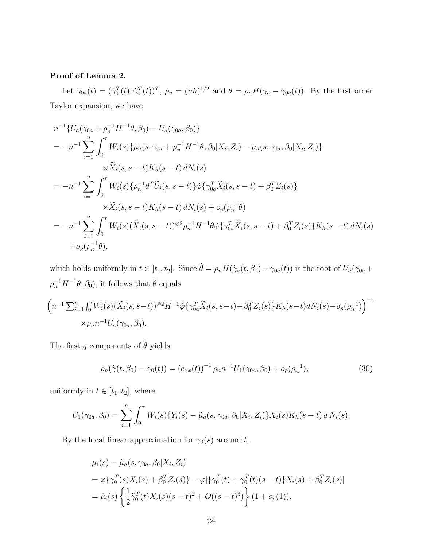### Proof of Lemma 2.

Let  $\gamma_{0a}(t) = (\gamma_0^T(t), \dot{\gamma}_0^T(t))^T$ ,  $\rho_n = (nh)^{1/2}$  and  $\theta = \rho_n H(\gamma_a - \gamma_{0a}(t))$ . By the first order Taylor expansion, we have

$$
n^{-1}\{U_a(\gamma_{0a} + \rho_n^{-1}H^{-1}\theta, \beta_0) - U_a(\gamma_{0a}, \beta_0)\}
$$
  
\n
$$
= -n^{-1}\sum_{i=1}^n \int_0^\tau W_i(s)\{\tilde{\mu}_a(s, \gamma_{0a} + \rho_n^{-1}H^{-1}\theta, \beta_0|X_i, Z_i) - \tilde{\mu}_a(s, \gamma_{0a}, \beta_0|X_i, Z_i)\}
$$
  
\n
$$
\times \tilde{X}_i(s, s - t)K_h(s - t) dN_i(s)
$$
  
\n
$$
= -n^{-1}\sum_{i=1}^n \int_0^\tau W_i(s)\{\rho_n^{-1}\theta^T \tilde{U}_i(s, s - t)\}\dot{\varphi}\{\gamma_{0a}^T \tilde{X}_i(s, s - t) + \beta_0^T Z_i(s)\}
$$
  
\n
$$
\times \tilde{X}_i(s, s - t)K_h(s - t) dN_i(s) + o_p(\rho_n^{-1}\theta)
$$
  
\n
$$
= -n^{-1}\sum_{i=1}^n \int_0^\tau W_i(s)(\tilde{X}_i(s, s - t))^{82} \rho_n^{-1}H^{-1}\theta \dot{\varphi}\{\gamma_{0a}^T \tilde{X}_i(s, s - t) + \beta_0^T Z_i(s)\}K_h(s - t) dN_i(s)
$$
  
\n
$$
+ o_p(\rho_n^{-1}\theta),
$$

which holds uniformly in  $t \in [t_1, t_2]$ . Since  $\tilde{\theta} = \rho_n H(\tilde{\gamma}_a(t, \beta_0) - \gamma_{0a}(t))$  is the root of  $U_a(\gamma_{0a} +$  $\rho_n^{-1}H^{-1}\theta, \beta_0)$ , it follows that  $\tilde{\theta}$  equals

$$
\left(n^{-1}\sum_{i=1}^{n} \int_{0}^{\tau} W_{i}(s)(\widetilde{X}_{i}(s,s-t))^{\otimes 2} H^{-1} \dot{\varphi} \{\gamma_{0a}^{T} \widetilde{X}_{i}(s,s-t) + \beta_{0}^{T} Z_{i}(s)\} K_{h}(s-t) dN_{i}(s) + o_{p}(\rho_{n}^{-1})\right)^{-1} \times \rho_{n} n^{-1} U_{a}(\gamma_{0a}, \beta_{0}).
$$

The first q components of  $\tilde{\theta}$  yields

$$
\rho_n(\tilde{\gamma}(t,\beta_0) - \gamma_0(t)) = (e_{xx}(t))^{-1} \rho_n n^{-1} U_1(\gamma_{0a}, \beta_0) + o_p(\rho_n^{-1}), \tag{30}
$$

uniformly in  $t \in [t_1, t_2]$ , where

$$
U_1(\gamma_{0a}, \beta_0) = \sum_{i=1}^n \int_0^\tau W_i(s) \{ Y_i(s) - \tilde{\mu}_a(s, \gamma_{0a}, \beta_0 | X_i, Z_i) \} X_i(s) K_h(s-t) dN_i(s).
$$

By the local linear approximation for  $\gamma_0(s)$  around t,

$$
\mu_i(s) - \tilde{\mu}_a(s, \gamma_{0a}, \beta_0 | X_i, Z_i)
$$
  
=  $\varphi \{ \gamma_0^T(s) X_i(s) + \beta_0^T Z_i(s) \} - \varphi [\{ \gamma_0^T(t) + \dot{\gamma}_0^T(t)(s-t) \} X_i(s) + \beta_0^T Z_i(s) ]$   
=  $\dot{\mu}_i(s) \{ \frac{1}{2} \ddot{\gamma}_0^T(t) X_i(s)(s-t)^2 + O((s-t)^3) \} (1+o_p(1)),$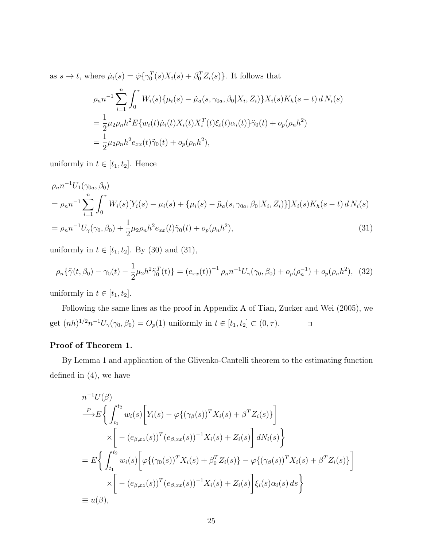as  $s \to t$ , where  $\dot{\mu}_i(s) = \dot{\varphi} \{ \gamma_0^T(s) X_i(s) + \beta_0^T Z_i(s) \}$ . It follows that

$$
\rho_n n^{-1} \sum_{i=1}^n \int_0^\tau W_i(s) \{ \mu_i(s) - \tilde{\mu}_a(s, \gamma_{0a}, \beta_0 | X_i, Z_i) \} X_i(s) K_h(s - t) d N_i(s)
$$
  
= 
$$
\frac{1}{2} \mu_2 \rho_n h^2 E \{ w_i(t) \mu_i(t) X_i(t) X_i^T(t) \xi_i(t) \alpha_i(t) \} \ddot{\gamma}_0(t) + o_p(\rho_n h^2)
$$
  
= 
$$
\frac{1}{2} \mu_2 \rho_n h^2 e_{xx}(t) \ddot{\gamma}_0(t) + o_p(\rho_n h^2),
$$

uniformly in  $t \in [t_1, t_2]$ . Hence

$$
\rho_n n^{-1} U_1(\gamma_{0a}, \beta_0)
$$
  
=  $\rho_n n^{-1} \sum_{i=1}^n \int_0^{\tau} W_i(s) [Y_i(s) - \mu_i(s) + {\mu_i(s) - \tilde{\mu}_a(s, \gamma_{0a}, \beta_0 | X_i, Z_i)}] X_i(s) K_h(s - t) d N_i(s)$   
=  $\rho_n n^{-1} U_\gamma(\gamma_0, \beta_0) + \frac{1}{2} \mu_2 \rho_n h^2 e_{xx}(t) \ddot{\gamma}_0(t) + o_p(\rho_n h^2),$  (31)

uniformly in  $t \in [t_1, t_2]$ . By (30) and (31),

$$
\rho_n\{\tilde{\gamma}(t,\beta_0)-\gamma_0(t)-\frac{1}{2}\mu_2h^2\ddot{\gamma}_0^T(t)\} = (e_{xx}(t))^{-1}\rho_n n^{-1}U_{\gamma}(\gamma_0,\beta_0) + o_p(\rho_n^{-1}) + o_p(\rho_n h^2), \quad (32)
$$

uniformly in  $t \in [t_1, t_2]$ .

Following the same lines as the proof in Appendix A of Tian, Zucker and Wei (2005), we get  $(nh)^{1/2}n^{-1}U_{\gamma}(\gamma_0, \beta_0) = O_p(1)$  uniformly in  $t \in [t_1, t_2] \subset (0, \tau)$ .  $\Box$ 

#### Proof of Theorem 1.

By Lemma 1 and application of the Glivenko-Cantelli theorem to the estimating function defined in (4), we have

$$
n^{-1}U(\beta)
$$
  
\n
$$
\xrightarrow{P} E\left\{\int_{t_1}^{t_2} w_i(s) \Big[ Y_i(s) - \varphi\{(\gamma_\beta(s))^T X_i(s) + \beta^T Z_i(s)\}\Big] \times \Bigg[ -(e_{\beta, xz}(s))^T (e_{\beta, xx}(s))^{-1} X_i(s) + Z_i(s) \Bigg] dN_i(s) \right\}
$$
  
\n
$$
= E\left\{\int_{t_1}^{t_2} w_i(s) \Big[ \varphi\{(\gamma_0(s))^T X_i(s) + \beta_0^T Z_i(s)\} - \varphi\{(\gamma_\beta(s))^T X_i(s) + \beta^T Z_i(s)\}\Big] \times \Bigg[ -(e_{\beta, xz}(s))^T (e_{\beta, xx}(s))^{-1} X_i(s) + Z_i(s) \Bigg] \xi_i(s) \alpha_i(s) ds \right\}
$$
  
\n
$$
\equiv u(\beta),
$$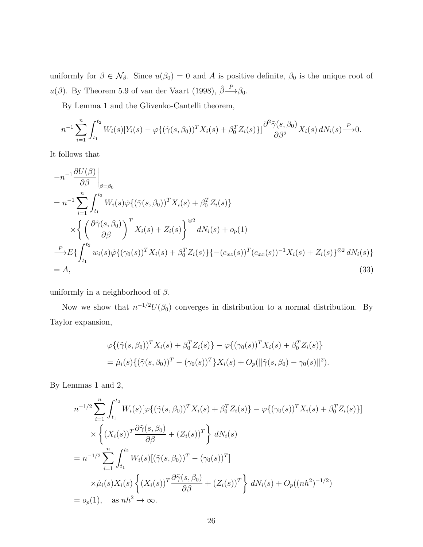uniformly for  $\beta \in \mathcal{N}_{\beta}$ . Since  $u(\beta_0) = 0$  and A is positive definite,  $\beta_0$  is the unique root of  $u(\beta)$ . By Theorem 5.9 of van der Vaart (1998),  $\hat{\beta} \rightarrow{\ } \beta_0$ .

By Lemma 1 and the Glivenko-Cantelli theorem,

$$
n^{-1} \sum_{i=1}^{n} \int_{t_1}^{t_2} W_i(s) [Y_i(s) - \varphi \{ (\tilde{\gamma}(s, \beta_0))^{T} X_i(s) + \beta_0^{T} Z_i(s) \}] \frac{\partial^2 \tilde{\gamma}(s, \beta_0)}{\partial \beta^2} X_i(s) dN_i(s) \frac{P}{\rightarrow} 0.
$$

It follows that

$$
-n^{-1} \frac{\partial U(\beta)}{\partial \beta}\Big|_{\beta=\beta_0}
$$
  
=  $n^{-1} \sum_{i=1}^n \int_{t_1}^{t_2} W_i(s) \dot{\varphi} \{ (\tilde{\gamma}(s,\beta_0))^T X_i(s) + \beta_0^T Z_i(s) \}$   

$$
\times \left\{ \left( \frac{\partial \tilde{\gamma}(s,\beta_0)}{\partial \beta} \right)^T X_i(s) + Z_i(s) \right\}^{\otimes 2} dN_i(s) + o_p(1)
$$
  

$$
\xrightarrow{P} E \{ \int_{t_1}^{t_2} w_i(s) \dot{\varphi} \{ (\gamma_0(s))^T X_i(s) + \beta_0^T Z_i(s) \} \{ -(e_{xz}(s))^T (e_{xx}(s))^{-1} X_i(s) + Z_i(s) \}^{\otimes 2} dN_i(s) \}
$$
  
= A, (33)

uniformly in a neighborhood of  $\beta$ .

Now we show that  $n^{-1/2}U(\beta_0)$  converges in distribution to a normal distribution. By Taylor expansion,

$$
\varphi \{ (\tilde{\gamma}(s,\beta_0))^T X_i(s) + \beta_0^T Z_i(s) \} - \varphi \{ (\gamma_0(s))^T X_i(s) + \beta_0^T Z_i(s) \}
$$
  
=  $\dot{\mu}_i(s) \{ (\tilde{\gamma}(s,\beta_0))^T - (\gamma_0(s))^T \} X_i(s) + O_p(\|\tilde{\gamma}(s,\beta_0) - \gamma_0(s)\|^2).$ 

By Lemmas 1 and 2,

$$
n^{-1/2} \sum_{i=1}^{n} \int_{t_1}^{t_2} W_i(s) [\varphi \{ (\tilde{\gamma}(s, \beta_0))^T X_i(s) + \beta_0^T Z_i(s) \} - \varphi \{ (\gamma_0(s))^T X_i(s) + \beta_0^T Z_i(s) \} ]
$$
  
\n
$$
\times \left\{ (X_i(s))^T \frac{\partial \tilde{\gamma}(s, \beta_0)}{\partial \beta} + (Z_i(s))^T \right\} dN_i(s)
$$
  
\n
$$
= n^{-1/2} \sum_{i=1}^{n} \int_{t_1}^{t_2} W_i(s) [(\tilde{\gamma}(s, \beta_0))^T - (\gamma_0(s))^T ]
$$
  
\n
$$
\times \mu_i(s) X_i(s) \left\{ (X_i(s))^T \frac{\partial \tilde{\gamma}(s, \beta_0)}{\partial \beta} + (Z_i(s))^T \right\} dN_i(s) + O_p((nh^2)^{-1/2})
$$
  
\n
$$
= o_p(1), \text{ as } nh^2 \to \infty.
$$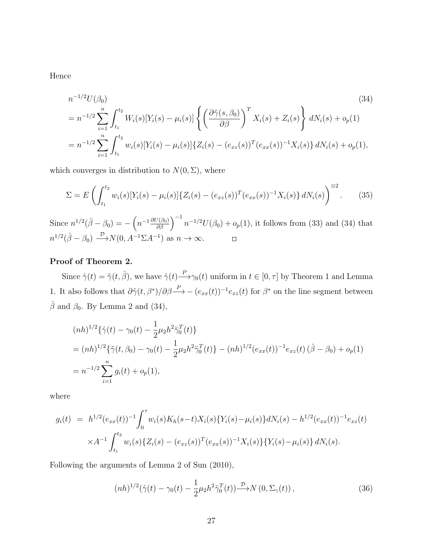Hence

$$
n^{-1/2}U(\beta_0)
$$
\n
$$
= n^{-1/2} \sum_{i=1}^n \int_{t_1}^{t_2} W_i(s)[Y_i(s) - \mu_i(s)] \left\{ \left(\frac{\partial \tilde{\gamma}(s, \beta_0)}{\partial \beta}\right)^T X_i(s) + Z_i(s) \right\} dN_i(s) + o_p(1)
$$
\n
$$
= n^{-1/2} \sum_{i=1}^n \int_{t_1}^{t_2} w_i(s)[Y_i(s) - \mu_i(s)] \{Z_i(s) - (e_{xz}(s))^T (e_{xx}(s))^{-1} X_i(s)\} dN_i(s) + o_p(1),
$$
\n(34)

which converges in distribution to  $N(0, \Sigma)$ , where

$$
\Sigma = E\left(\int_{t_1}^{t_2} w_i(s)[Y_i(s) - \mu_i(s)]\{Z_i(s) - (e_{xz}(s))^T(e_{xx}(s))^{-1}X_i(s)\}dN_i(s)\right)^{\otimes 2}.
$$
 (35)

Since  $n^{1/2}(\hat{\beta} - \beta_0) = -\left(n^{-1}\frac{\partial U(\beta_0)}{\partial \beta}\right)^{-1} n^{-1/2}U(\beta_0) + o_p(1)$ , it follows from (33) and (34) that  $n^{1/2}(\hat{\beta} - \beta_0) \stackrel{\mathcal{D}}{\longrightarrow} N(0, A^{-1}\Sigma A^{-1})$  as  $n \to \infty$ .  $\Box$ 

#### Proof of Theorem 2.

Since  $\hat{\gamma}(t) = \tilde{\gamma}(t, \hat{\beta})$ , we have  $\hat{\gamma}(t) \stackrel{P}{\longrightarrow} \gamma_0(t)$  uniform in  $t \in [0, \tau]$  by Theorem 1 and Lemma 1. It also follows that  $\partial \tilde{\gamma}(t, \beta^*)/\partial \beta \longrightarrow - (e_{xx}(t))^{-1} e_{xz}(t)$  for  $\beta^*$  on the line segment between  $\hat{\beta}$  and  $\beta_0$ . By Lemma 2 and (34),

$$
(nh)^{1/2}\{\hat{\gamma}(t) - \gamma_0(t) - \frac{1}{2}\mu_2 h^2 \ddot{\gamma}_0^T(t)\}
$$
  
=  $(nh)^{1/2}\{\tilde{\gamma}(t, \beta_0) - \gamma_0(t) - \frac{1}{2}\mu_2 h^2 \ddot{\gamma}_0^T(t)\} - (nh)^{1/2} (e_{xx}(t))^{-1} e_{xz}(t) (\hat{\beta} - \beta_0) + o_p(1))$   
=  $n^{-1/2} \sum_{i=1}^n g_i(t) + o_p(1),$ 

where

$$
g_i(t) = h^{1/2} (e_{xx}(t))^{-1} \int_0^{\tau} w_i(s) K_h(s-t) X_i(s) \{ Y_i(s) - \mu_i(s) \} dN_i(s) - h^{1/2} (e_{xx}(t))^{-1} e_{xz}(t)
$$
  
 
$$
\times A^{-1} \int_{t_1}^{t_2} w_i(s) \{ Z_i(s) - (e_{xz}(s))^T (e_{xx}(s))^{-1} X_i(s) \} \{ Y_i(s) - \mu_i(s) \} dN_i(s).
$$

Following the arguments of Lemma 2 of Sun (2010),

$$
(nh)^{1/2}(\hat{\gamma}(t) - \gamma_0(t) - \frac{1}{2}\mu_2 h^2 \ddot{\gamma}_0^T(t)) \xrightarrow{\mathcal{D}} N(0, \Sigma_\gamma(t)), \tag{36}
$$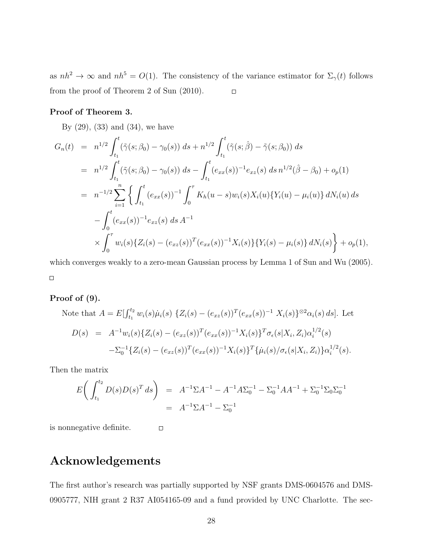as  $nh^2 \to \infty$  and  $nh^5 = O(1)$ . The consistency of the variance estimator for  $\Sigma_{\gamma}(t)$  follows from the proof of Theorem 2 of Sun (2010).  $\Box$ 

#### Proof of Theorem 3.

By  $(29)$ ,  $(33)$  and  $(34)$ , we have

$$
G_n(t) = n^{1/2} \int_{t_1}^t (\tilde{\gamma}(s; \beta_0) - \gamma_0(s)) ds + n^{1/2} \int_{t_1}^t (\tilde{\gamma}(s; \hat{\beta}) - \tilde{\gamma}(s; \beta_0)) ds
$$
  
\n
$$
= n^{1/2} \int_{t_1}^t (\tilde{\gamma}(s; \beta_0) - \gamma_0(s)) ds - \int_{t_1}^t (e_{xx}(s))^{-1} e_{xz}(s) ds n^{1/2} (\hat{\beta} - \beta_0) + o_p(1)
$$
  
\n
$$
= n^{-1/2} \sum_{i=1}^n \left\{ \int_{t_1}^t (e_{xx}(s))^{-1} \int_0^{\tau} K_h(u-s) w_i(s) X_i(u) \{Y_i(u) - \mu_i(u)\} dN_i(u) ds \right.
$$
  
\n
$$
- \int_0^t (e_{xx}(s))^{-1} e_{xz}(s) ds A^{-1}
$$
  
\n
$$
\times \int_0^{\tau} w_i(s) \{Z_i(s) - (e_{xz}(s))^T (e_{xx}(s))^{-1} X_i(s) \} \{Y_i(s) - \mu_i(s)\} dN_i(s) \right\} + o_p(1),
$$

which converges weakly to a zero-mean Gaussian process by Lemma 1 of Sun and Wu (2005).  $\Box$ 

#### Proof of (9).

Note that 
$$
A = E[\int_{t_1}^{t_2} w_i(s)\dot{\mu}_i(s) \{Z_i(s) - (e_{xz}(s))^T (e_{xx}(s))^{-1} X_i(s)\}^{\otimes 2} \alpha_i(s) ds]
$$
. Let  
\n
$$
D(s) = A^{-1} w_i(s) \{Z_i(s) - (e_{xz}(s))^T (e_{xx}(s))^{-1} X_i(s)\}^T \sigma_{\epsilon}(s | X_i, Z_i) \alpha_i^{1/2}(s)
$$
\n
$$
- \Sigma_0^{-1} \{Z_i(s) - (e_{xz}(s))^T (e_{xx}(s))^{-1} X_i(s)\}^T \{\dot{\mu}_i(s) / \sigma_{\epsilon}(s | X_i, Z_i)\} \alpha_i^{1/2}(s).
$$

Then the matrix

$$
E\left(\int_{t_1}^{t_2} D(s)D(s)^T ds\right) = A^{-1}\Sigma A^{-1} - A^{-1}A\Sigma_0^{-1} - \Sigma_0^{-1}AA^{-1} + \Sigma_0^{-1}\Sigma_0\Sigma_0^{-1}
$$
  
=  $A^{-1}\Sigma A^{-1} - \Sigma_0^{-1}$ 

 $\Box$ 

is nonnegative definite.

# Acknowledgements

The first author's research was partially supported by NSF grants DMS-0604576 and DMS-0905777, NIH grant 2 R37 AI054165-09 and a fund provided by UNC Charlotte. The sec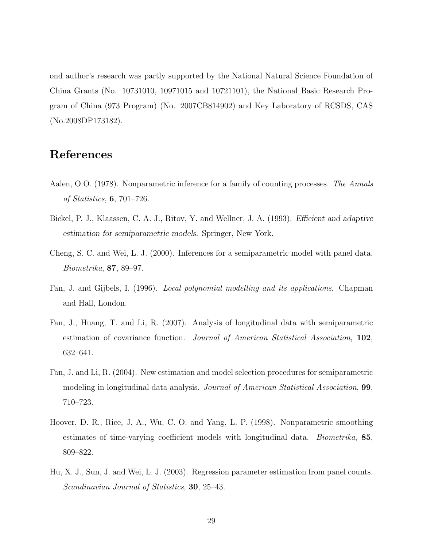ond author's research was partly supported by the National Natural Science Foundation of China Grants (No. 10731010, 10971015 and 10721101), the National Basic Research Program of China (973 Program) (No. 2007CB814902) and Key Laboratory of RCSDS, CAS (No.2008DP173182).

# References

- Aalen, O.O. (1978). Nonparametric inference for a family of counting processes. The Annals of Statistics, 6, 701–726.
- Bickel, P. J., Klaassen, C. A. J., Ritov, Y. and Wellner, J. A. (1993). Efficient and adaptive estimation for semiparametric models. Springer, New York.
- Cheng, S. C. and Wei, L. J. (2000). Inferences for a semiparametric model with panel data. Biometrika, 87, 89–97.
- Fan, J. and Gijbels, I. (1996). Local polynomial modelling and its applications. Chapman and Hall, London.
- Fan, J., Huang, T. and Li, R. (2007). Analysis of longitudinal data with semiparametric estimation of covariance function. Journal of American Statistical Association, 102, 632–641.
- Fan, J. and Li, R. (2004). New estimation and model selection procedures for semiparametric modeling in longitudinal data analysis. Journal of American Statistical Association, 99, 710–723.
- Hoover, D. R., Rice, J. A., Wu, C. O. and Yang, L. P. (1998). Nonparametric smoothing estimates of time-varying coefficient models with longitudinal data. *Biometrika*, 85, 809–822.
- Hu, X. J., Sun, J. and Wei, L. J. (2003). Regression parameter estimation from panel counts. Scandinavian Journal of Statistics, 30, 25–43.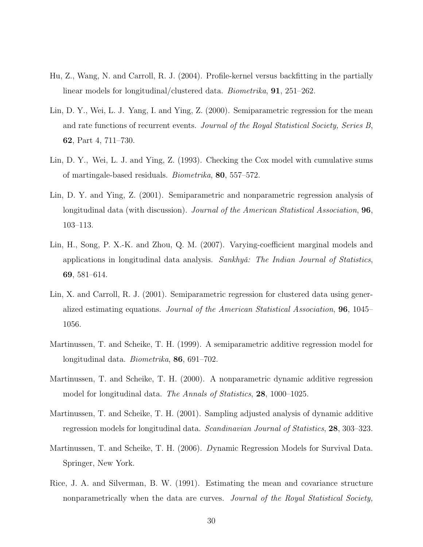- Hu, Z., Wang, N. and Carroll, R. J. (2004). Profile-kernel versus backfitting in the partially linear models for longitudinal/clustered data. Biometrika, 91, 251–262.
- Lin, D. Y., Wei, L. J. Yang, I. and Ying, Z. (2000). Semiparametric regression for the mean and rate functions of recurrent events. Journal of the Royal Statistical Society, Series B, 62, Part 4, 711–730.
- Lin, D. Y., Wei, L. J. and Ying, Z. (1993). Checking the Cox model with cumulative sums of martingale-based residuals. Biometrika, 80, 557–572.
- Lin, D. Y. and Ying, Z. (2001). Semiparametric and nonparametric regression analysis of longitudinal data (with discussion). *Journal of the American Statistical Association*, **96**, 103–113.
- Lin, H., Song, P. X.-K. and Zhou, Q. M. (2007). Varying-coefficient marginal models and applications in longitudinal data analysis. Sankhyǎ: The Indian Journal of Statistics, 69, 581–614.
- Lin, X. and Carroll, R. J. (2001). Semiparametric regression for clustered data using generalized estimating equations. Journal of the American Statistical Association, 96, 1045– 1056.
- Martinussen, T. and Scheike, T. H. (1999). A semiparametric additive regression model for longitudinal data. Biometrika, 86, 691–702.
- Martinussen, T. and Scheike, T. H. (2000). A nonparametric dynamic additive regression model for longitudinal data. The Annals of Statistics, 28, 1000–1025.
- Martinussen, T. and Scheike, T. H. (2001). Sampling adjusted analysis of dynamic additive regression models for longitudinal data. Scandinavian Journal of Statistics, 28, 303–323.
- Martinussen, T. and Scheike, T. H. (2006). Dynamic Regression Models for Survival Data. Springer, New York.
- Rice, J. A. and Silverman, B. W. (1991). Estimating the mean and covariance structure nonparametrically when the data are curves. Journal of the Royal Statistical Society,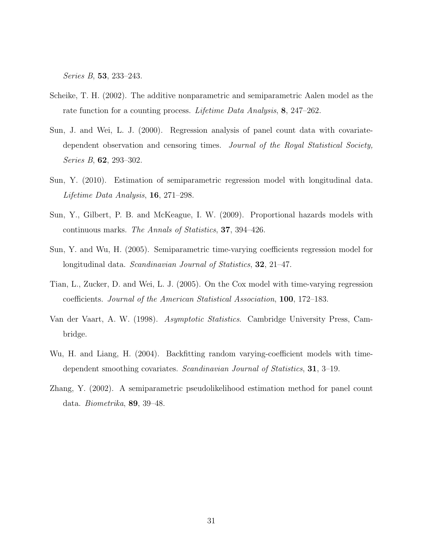Series B, 53, 233–243.

- Scheike, T. H. (2002). The additive nonparametric and semiparametric Aalen model as the rate function for a counting process. Lifetime Data Analysis, 8, 247–262.
- Sun, J. and Wei, L. J. (2000). Regression analysis of panel count data with covariatedependent observation and censoring times. Journal of the Royal Statistical Society, Series B, 62, 293–302.
- Sun, Y. (2010). Estimation of semiparametric regression model with longitudinal data. Lifetime Data Analysis, 16, 271–298.
- Sun, Y., Gilbert, P. B. and McKeague, I. W. (2009). Proportional hazards models with continuous marks. The Annals of Statistics, 37, 394–426.
- Sun, Y. and Wu, H. (2005). Semiparametric time-varying coefficients regression model for longitudinal data. Scandinavian Journal of Statistics, **32**, 21–47.
- Tian, L., Zucker, D. and Wei, L. J. (2005). On the Cox model with time-varying regression coefficients. Journal of the American Statistical Association, 100, 172–183.
- Van der Vaart, A. W. (1998). Asymptotic Statistics. Cambridge University Press, Cambridge.
- Wu, H. and Liang, H. (2004). Backfitting random varying-coefficient models with timedependent smoothing covariates. Scandinavian Journal of Statistics, 31, 3–19.
- Zhang, Y. (2002). A semiparametric pseudolikelihood estimation method for panel count data. Biometrika, 89, 39–48.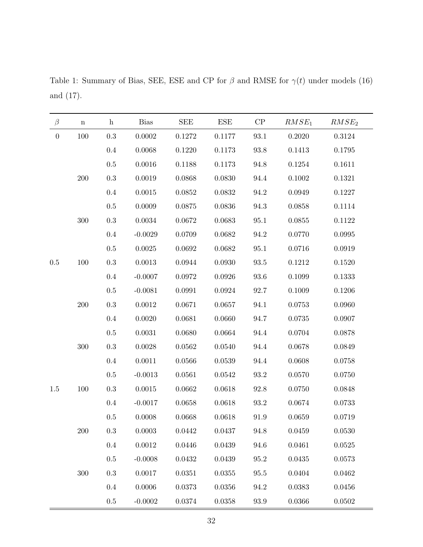$\beta$  n h Bias SEE ESE CP  $RMSE_1$   $RMSE_2$ 0 100 0.3 0.0002 0.1272 0.1177 93.1 0.2020 0.3124 0.4 0.0068 0.1220 0.1173 93.8 0.1413 0.1795 0.5 0.0016 0.1188 0.1173 94.8 0.1254 0.1611 200 0.3 0.0019 0.0868 0.0830 94.4 0.1002 0.1321 0.4 0.0015 0.0852 0.0832 94.2 0.0949 0.1227 0.5 0.0009 0.0875 0.0836 94.3 0.0858 0.1114 300 0.3 0.0034 0.0672 0.0683 95.1 0.0855 0.1122 0.4 -0.0029 0.0709 0.0682 94.2 0.0770 0.0995 0.5 0.0025 0.0692 0.0682 95.1 0.0716 0.0919 0.5 100 0.3 0.0013 0.0944 0.0930 93.5 0.1212 0.1520 0.4 -0.0007 0.0972 0.0926 93.6 0.1099 0.1333 0.5 -0.0081 0.0991 0.0924 92.7 0.1009 0.1206 200 0.3 0.0012 0.0671 0.0657 94.1 0.0753 0.0960 0.4 0.0020 0.0681 0.0660 94.7 0.0735 0.0907 0.5 0.0031 0.0680 0.0664 94.4 0.0704 0.0878 300 0.3 0.0028 0.0562 0.0540 94.4 0.0678 0.0849 0.4 0.0011 0.0566 0.0539 94.4 0.0608 0.0758 0.5 -0.0013 0.0561 0.0542 93.2 0.0570 0.0750 1.5 100 0.3 0.0015 0.0662 0.0618 92.8 0.0750 0.0848 0.4 -0.0017 0.0658 0.0618 93.2 0.0674 0.0733 0.5 0.0008 0.0668 0.0618 91.9 0.0659 0.0719 200 0.3 0.0003 0.0442 0.0437 94.8 0.0459 0.0530 0.4 0.0012 0.0446 0.0439 94.6 0.0461 0.0525 0.5 -0.0008 0.0432 0.0439 95.2 0.0435 0.0573 300 0.3 0.0017 0.0351 0.0355 95.5 0.0404 0.0462 0.4 0.0006 0.0373 0.0356 94.2 0.0383 0.0456 0.5 -0.0002 0.0374 0.0358 93.9 0.0366 0.0502

Table 1: Summary of Bias, SEE, ESE and CP for  $\beta$  and RMSE for  $\gamma(t)$  under models (16) and (17).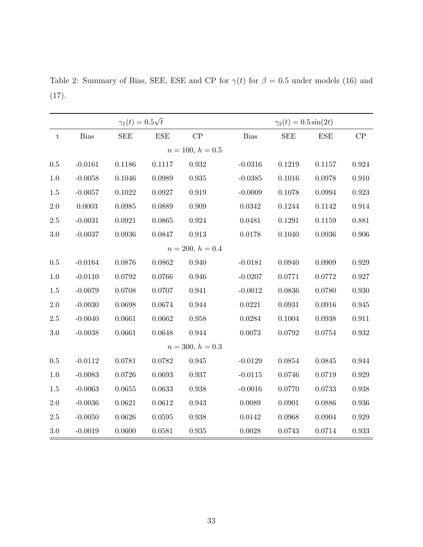$\gamma_1(t) = 0.5$ √  $\gamma_2(t) = 0.5 \sin(2t)$ t Bias SEE ESE CP Bias SEE ESE CP  $n = 100, h = 0.5$ 0.5 -0.0161 0.1186 0.1117 0.932 -0.0316 0.1219 0.1157 0.924 1.0 -0.0058 0.1046 0.0989 0.935 -0.0385 0.1016 0.0978 0.910 1.5 -0.0057 0.1022 0.0927 0.919 -0.0009 0.1078 0.0994 0.923 2.0 0.0003 0.0985 0.0889 0.909 0.0342 0.1244 0.1142 0.914 2.5 -0.0031 0.0921 0.0865 0.924 0.0481 0.1291 0.1159 0.881 3.0 -0.0037 0.0936 0.0847 0.913 0.0178 0.1040 0.0936 0.906  $n = 200, h = 0.4$ 0.5 -0.0164 0.0876 0.0862 0.940 -0.0181 0.0940 0.0909 0.929 1.0 -0.0110 0.0792 0.0766 0.946 -0.0207 0.0771 0.0772 0.927 1.5 -0.0079 0.0708 0.0707 0.941 -0.0012 0.0836 0.0780 0.930 2.0 -0.0030 0.0698 0.0674 0.944 0.0221 0.0931 0.0916 0.945 2.5 -0.0040 0.0661 0.0662 0.958 0.0284 0.1004 0.0938 0.911 3.0 -0.0038 0.0661 0.0648 0.944 0.0073 0.0792 0.0754 0.932  $n = 300, h = 0.3$ 0.5 -0.0112 0.0781 0.0782 0.945 -0.0129 0.0854 0.0845 0.944 1.0 -0.0083 0.0726 0.0693 0.937 -0.0115 0.0746 0.0719 0.929 1.5 -0.0063 0.0655 0.0633 0.938 -0.0016 0.0770 0.0733 0.938 2.0 -0.0036 0.0621 0.0612 0.943 0.0089 0.0901 0.0886 0.936 2.5 -0.0050 0.0626 0.0595 0.938 0.0142 0.0968 0.0904 0.929 3.0 -0.0019 0.0600 0.0581 0.935 0.0028 0.0743 0.0714 0.933

Table 2: Summary of Bias, SEE, ESE and CP for  $\gamma(t)$  for  $\beta = 0.5$  under models (16) and (17).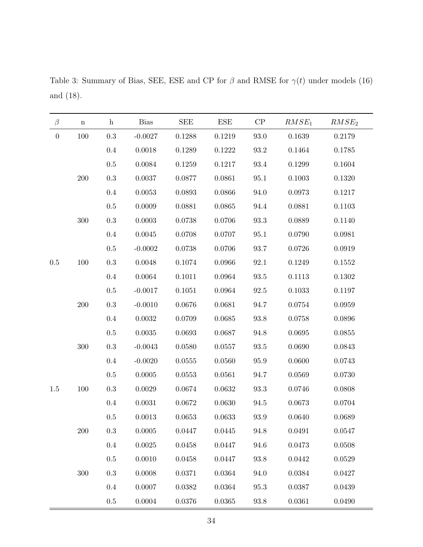$\beta$  n h Bias SEE ESE CP  $RMSE_1$   $RMSE_2$ 0 100 0.3 -0.0027 0.1288 0.1219 93.0 0.1639 0.2179 0.4 0.0018 0.1289 0.1222 93.2 0.1464 0.1785 0.5 0.0084 0.1259 0.1217 93.4 0.1299 0.1604 200 0.3 0.0037 0.0877 0.0861 95.1 0.1003 0.1320 0.4 0.0053 0.0893 0.0866 94.0 0.0973 0.1217 0.5 0.0009 0.0881 0.0865 94.4 0.0881 0.1103 300 0.3 0.0003 0.0738 0.0706 93.3 0.0889 0.1140 0.4 0.0045 0.0708 0.0707 95.1 0.0790 0.0981 0.5 -0.0002 0.0738 0.0706 93.7 0.0726 0.0919 0.5 100 0.3 0.0048 0.1074 0.0966 92.1 0.1249 0.1552 0.4 0.0064 0.1011 0.0964 93.5 0.1113 0.1302 0.5 -0.0017 0.1051 0.0964 92.5 0.1033 0.1197 200 0.3 -0.0010 0.0676 0.0681 94.7 0.0754 0.0959 0.4 0.0032 0.0709 0.0685 93.8 0.0758 0.0896 0.5 0.0035 0.0693 0.0687 94.8 0.0695 0.0855 300 0.3 -0.0043 0.0580 0.0557 93.5 0.0690 0.0843 0.4 -0.0020 0.0555 0.0560 95.9 0.0600 0.0743 0.5 0.0005 0.0553 0.0561 94.7 0.0569 0.0730 1.5 100 0.3 0.0029 0.0674 0.0632 93.3 0.0746 0.0808 0.4 0.0031 0.0672 0.0630 94.5 0.0673 0.0704 0.5 0.0013 0.0653 0.0633 93.9 0.0640 0.0689 200 0.3 0.0005 0.0447 0.0445 94.8 0.0491 0.0547 0.4 0.0025 0.0458 0.0447 94.6 0.0473 0.0508 0.5 0.0010 0.0458 0.0447 93.8 0.0442 0.0529 300 0.3 0.0008 0.0371 0.0364 94.0 0.0384 0.0427 0.4 0.0007 0.0382 0.0364 95.3 0.0387 0.0439 0.5 0.0004 0.0376 0.0365 93.8 0.0361 0.0490

Table 3: Summary of Bias, SEE, ESE and CP for  $\beta$  and RMSE for  $\gamma(t)$  under models (16) and (18).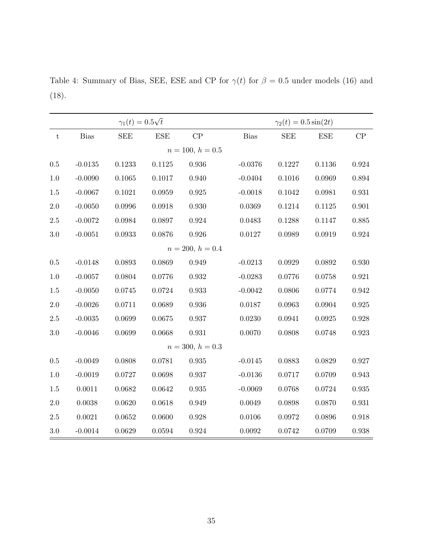Table 4: Summary of Bias, SEE, ESE and CP for  $\gamma(t)$  for  $\beta = 0.5$  under models (16) and (18).

|           |             | $\gamma_1(t) = 0.5\sqrt{t}$ |                    |                    | $\gamma_2(t) = 0.5 \sin(2t)$ |            |            |       |  |
|-----------|-------------|-----------------------------|--------------------|--------------------|------------------------------|------------|------------|-------|--|
| ${\rm t}$ | <b>Bias</b> | <b>SEE</b>                  | <b>ESE</b>         | CP                 | <b>Bias</b>                  | <b>SEE</b> | <b>ESE</b> | CP    |  |
|           |             |                             | $n = 100, h = 0.5$ |                    |                              |            |            |       |  |
| $0.5\,$   | $-0.0135$   | 0.1233                      | 0.1125             | 0.936              | $-0.0376$                    | 0.1227     | 0.1136     | 0.924 |  |
| 1.0       | $-0.0090$   | 0.1065                      | 0.1017             | 0.940              | $-0.0404$                    | 0.1016     | 0.0969     | 0.894 |  |
| 1.5       | $-0.0067$   | 0.1021                      | 0.0959             | 0.925              | $-0.0018$                    | 0.1042     | 0.0981     | 0.931 |  |
| $2.0\,$   | $-0.0050$   | 0.0996                      | 0.0918             | 0.930              | 0.0369                       | 0.1214     | 0.1125     | 0.901 |  |
| $2.5\,$   | $-0.0072$   | 0.0984                      | 0.0897             | 0.924              | 0.0483                       | 0.1288     | 0.1147     | 0.885 |  |
| 3.0       | $-0.0051$   | 0.0933                      | 0.0876             | 0.926              | 0.0127                       | 0.0989     | 0.0919     | 0.924 |  |
|           |             |                             |                    | $n = 200, h = 0.4$ |                              |            |            |       |  |
| $0.5\,$   | $-0.0148$   | 0.0893                      | 0.0869             | 0.949              | $-0.0213$                    | 0.0929     | 0.0892     | 0.930 |  |
| 1.0       | $-0.0057$   | 0.0804                      | 0.0776             | 0.932              | $-0.0283$                    | 0.0776     | 0.0758     | 0.921 |  |
| 1.5       | $-0.0050$   | 0.0745                      | 0.0724             | 0.933              | $-0.0042$                    | 0.0806     | 0.0774     | 0.942 |  |
| $2.0\,$   | $-0.0026$   | 0.0711                      | 0.0689             | 0.936              | 0.0187                       | 0.0963     | 0.0904     | 0.925 |  |
| $2.5\,$   | $-0.0035$   | 0.0699                      | 0.0675             | 0.937              | 0.0230                       | 0.0941     | 0.0925     | 0.928 |  |
| 3.0       | $-0.0046$   | 0.0699                      | 0.0668             | 0.931              | 0.0070                       | 0.0808     | 0.0748     | 0.923 |  |
|           |             |                             |                    | $n = 300, h = 0.3$ |                              |            |            |       |  |
| $0.5\,$   | $-0.0049$   | 0.0808                      | 0.0781             | 0.935              | $-0.0145$                    | 0.0883     | 0.0829     | 0.927 |  |
| 1.0       | $-0.0019$   | 0.0727                      | 0.0698             | 0.937              | $-0.0136$                    | 0.0717     | 0.0709     | 0.943 |  |
| 1.5       | 0.0011      | 0.0682                      | 0.0642             | 0.935              | $-0.0069$                    | 0.0768     | 0.0724     | 0.935 |  |
| 2.0       | 0.0038      | 0.0620                      | 0.0618             | 0.949              | 0.0049                       | 0.0898     | 0.0870     | 0.931 |  |
| $2.5\,$   | 0.0021      | 0.0652                      | 0.0600             | 0.928              | 0.0106                       | 0.0972     | 0.0896     | 0.918 |  |
| $3.0\,$   | $-0.0014$   | 0.0629                      | 0.0594             | $\,0.924\,$        | 0.0092                       | 0.0742     | 0.0709     | 0.938 |  |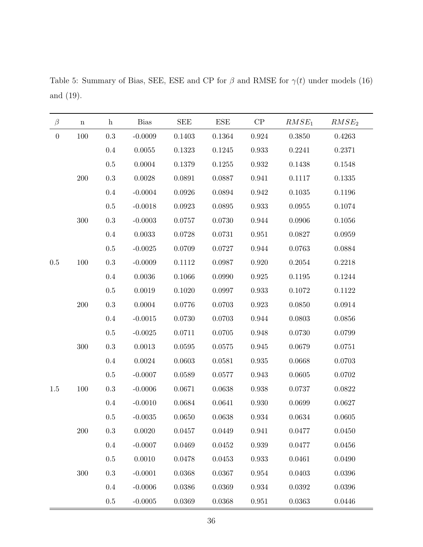| $\beta$          | $\mathbf n$ | $\mathbf{h}$ | <b>Bias</b>  | <b>SEE</b> | <b>ESE</b> | ${\cal CP}$ | $RMSE_1$     | RMSE <sub>2</sub> |
|------------------|-------------|--------------|--------------|------------|------------|-------------|--------------|-------------------|
| $\boldsymbol{0}$ | 100         | $\rm 0.3$    | $-0.0009$    | 0.1403     | 0.1364     | $\,0.924\,$ | 0.3850       | 0.4263            |
|                  |             | $0.4\,$      | 0.0055       | 0.1323     | 0.1245     | 0.933       | 0.2241       | 0.2371            |
|                  |             | $0.5\,$      | 0.0004       | 0.1379     | 0.1255     | 0.932       | 0.1438       | 0.1548            |
|                  | $200\,$     | $\rm 0.3$    | 0.0028       | 0.0891     | 0.0887     | $\!0.941$   | 0.1117       | $0.1335\,$        |
|                  |             | 0.4          | $-0.0004$    | 0.0926     | 0.0894     | 0.942       | 0.1035       | 0.1196            |
|                  |             | $0.5\,$      | $-0.0018$    | 0.0923     | 0.0895     | 0.933       | 0.0955       | 0.1074            |
|                  | 300         | $\rm 0.3$    | $-0.0003$    | $0.0757\,$ | 0.0730     | $\,0.944\,$ | 0.0906       | 0.1056            |
|                  |             | $0.4\,$      | 0.0033       | 0.0728     | 0.0731     | 0.951       | 0.0827       | 0.0959            |
|                  |             | $\rm 0.5$    | $-0.0025$    | 0.0709     | 0.0727     | 0.944       | 0.0763       | 0.0884            |
| $0.5\,$          | 100         | $\rm 0.3$    | $-0.0009$    | $0.1112\,$ | 0.0987     | $0.920\,$   | 0.2054       | 0.2218            |
|                  |             | 0.4          | 0.0036       | 0.1066     | 0.0990     | $\,0.925\,$ | 0.1195       | 0.1244            |
|                  |             | $0.5\,$      | 0.0019       | 0.1020     | 0.0997     | 0.933       | 0.1072       | 0.1122            |
|                  | $200\,$     | $\rm 0.3$    | 0.0004       | 0.0776     | 0.0703     | $\,0.923\,$ | 0.0850       | 0.0914            |
|                  |             | $0.4\,$      | $-0.0015$    | $0.0730\,$ | 0.0703     | 0.944       | 0.0803       | 0.0856            |
|                  |             | $0.5\,$      | $-0.0025$    | 0.0711     | $0.0705\,$ | 0.948       | 0.0730       | 0.0799            |
|                  | 300         | $\rm 0.3$    | 0.0013       | 0.0595     | 0.0575     | 0.945       | 0.0679       | 0.0751            |
|                  |             | $0.4\,$      | $\,0.0024\,$ | 0.0603     | 0.0581     | $\,0.935\,$ | 0.0668       | 0.0703            |
|                  |             | $0.5\,$      | $-0.0007$    | 0.0589     | 0.0577     | 0.943       | 0.0605       | 0.0702            |
| 1.5              | 100         | $\rm 0.3$    | $-0.0006$    | 0.0671     | 0.0638     | 0.938       | 0.0737       | 0.0822            |
|                  |             | $0.4\,$      | $-0.0010$    | 0.0684     | 0.0641     | 0.930       | 0.0699       | 0.0627            |
|                  |             | $0.5\,$      | $-0.0035$    | 0.0650     | 0.0638     | 0.934       | 0.0634       | 0.0605            |
|                  | $200\,$     | $\rm 0.3$    | 0.0020       | 0.0457     | 0.0449     | $\,0.941\,$ | 0.0477       | 0.0450            |
|                  |             | $0.4\,$      | $-0.0007$    | 0.0469     | 0.0452     | $\,0.939\,$ | 0.0477       | 0.0456            |
|                  |             | $0.5\,$      | 0.0010       | 0.0478     | 0.0453     | 0.933       | 0.0461       | 0.0490            |
|                  | $300\,$     | $\rm 0.3$    | $-0.0001$    | 0.0368     | 0.0367     | $\,0.954\,$ | 0.0403       | 0.0396            |
|                  |             | $0.4\,$      | $-0.0006$    | 0.0386     | 0.0369     | $\,0.934\,$ | $\,0.0392\,$ | 0.0396            |
|                  |             | $0.5\,$      | $-0.0005$    | 0.0369     | 0.0368     | $\,0.951\,$ | 0.0363       | 0.0446            |

Table 5: Summary of Bias, SEE, ESE and CP for  $\beta$  and RMSE for  $\gamma(t)$  under models (16) and (19).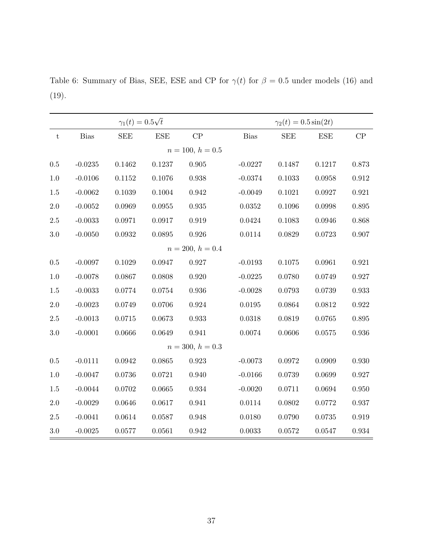Table 6: Summary of Bias, SEE, ESE and CP for  $\gamma(t)$  for  $\beta = 0.5$  under models (16) and (19).

|           |           | $\gamma_1(t) = 0.5\sqrt{t}$ |                    |                    | $\gamma_2(t) = 0.5 \sin(2t)$ |            |            |             |  |
|-----------|-----------|-----------------------------|--------------------|--------------------|------------------------------|------------|------------|-------------|--|
| ${\rm t}$ | Bias      | <b>SEE</b>                  | <b>ESE</b>         | CP                 | Bias                         | <b>SEE</b> | <b>ESE</b> | CP          |  |
|           |           |                             | $n = 100, h = 0.5$ |                    |                              |            |            |             |  |
| $0.5\,$   | $-0.0235$ | 0.1462                      | 0.1237             | 0.905              | $-0.0227$                    | 0.1487     | 0.1217     | 0.873       |  |
| 1.0       | $-0.0106$ | 0.1152                      | 0.1076             | 0.938              | $-0.0374$                    | 0.1033     | 0.0958     | $\,0.912\,$ |  |
| 1.5       | $-0.0062$ | 0.1039                      | 0.1004             | 0.942              | $-0.0049$                    | 0.1021     | 0.0927     | 0.921       |  |
| $2.0\,$   | $-0.0052$ | 0.0969                      | 0.0955             | 0.935              | 0.0352                       | 0.1096     | 0.0998     | 0.895       |  |
| $2.5\,$   | $-0.0033$ | 0.0971                      | 0.0917             | 0.919              | 0.0424                       | 0.1083     | 0.0946     | 0.868       |  |
| 3.0       | $-0.0050$ | 0.0932                      | 0.0895             | 0.926              | 0.0114                       | 0.0829     | 0.0723     | 0.907       |  |
|           |           |                             |                    | $n = 200, h = 0.4$ |                              |            |            |             |  |
| $0.5\,$   | $-0.0097$ | 0.1029                      | 0.0947             | 0.927              | $-0.0193$                    | 0.1075     | 0.0961     | 0.921       |  |
| $1.0\,$   | $-0.0078$ | 0.0867                      | 0.0808             | 0.920              | $-0.0225$                    | 0.0780     | 0.0749     | 0.927       |  |
| 1.5       | $-0.0033$ | 0.0774                      | 0.0754             | 0.936              | $-0.0028$                    | 0.0793     | 0.0739     | 0.933       |  |
| $2.0\,$   | $-0.0023$ | 0.0749                      | 0.0706             | 0.924              | 0.0195                       | 0.0864     | 0.0812     | 0.922       |  |
| $2.5\,$   | $-0.0013$ | 0.0715                      | 0.0673             | 0.933              | 0.0318                       | 0.0819     | 0.0765     | 0.895       |  |
| 3.0       | $-0.0001$ | 0.0666                      | 0.0649             | 0.941              | 0.0074                       | 0.0606     | 0.0575     | 0.936       |  |
|           |           |                             |                    | $n = 300, h = 0.3$ |                              |            |            |             |  |
| 0.5       | $-0.0111$ | 0.0942                      | 0.0865             | 0.923              | $-0.0073$                    | 0.0972     | 0.0909     | 0.930       |  |
| 1.0       | $-0.0047$ | 0.0736                      | 0.0721             | 0.940              | $-0.0166$                    | 0.0739     | 0.0699     | 0.927       |  |
| 1.5       | $-0.0044$ | 0.0702                      | 0.0665             | 0.934              | $-0.0020$                    | 0.0711     | 0.0694     | 0.950       |  |
| $2.0\,$   | $-0.0029$ | 0.0646                      | 0.0617             | 0.941              | 0.0114                       | 0.0802     | 0.0772     | $0.937\,$   |  |
| $2.5\,$   | $-0.0041$ | 0.0614                      | 0.0587             | 0.948              | 0.0180                       | 0.0790     | 0.0735     | $\,0.919\,$ |  |
| $3.0\,$   | $-0.0025$ | 0.0577                      | 0.0561             | 0.942              | 0.0033                       | 0.0572     | 0.0547     | $\,0.934\,$ |  |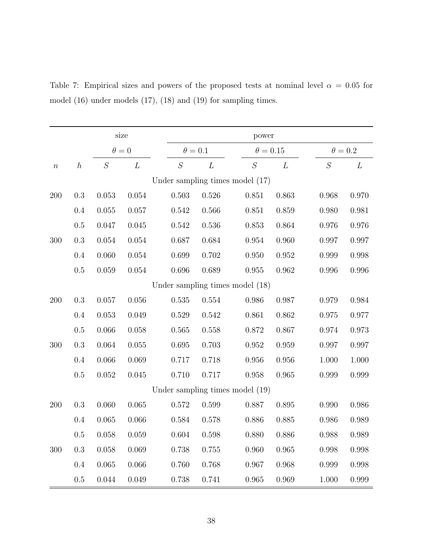|                  |                  |              | size      | power                           |                |                                   |                 |             |                |  |
|------------------|------------------|--------------|-----------|---------------------------------|----------------|-----------------------------------|-----------------|-------------|----------------|--|
|                  |                  | $\theta = 0$ |           |                                 | $\theta = 0.1$ |                                   | $\theta = 0.15$ |             | $\theta = 0.2$ |  |
| $\boldsymbol{n}$ | $\boldsymbol{h}$ | $\cal S$     | L         | ${\cal S}$                      | L              | ${\cal S}$                        | L               | $\cal S$    | L              |  |
|                  |                  |              |           |                                 |                | Under sampling times model $(17)$ |                 |             |                |  |
| 200              | 0.3              | 0.053        | 0.054     | 0.503                           | 0.526          | 0.851                             | 0.863           | 0.968       | 0.970          |  |
|                  | 0.4              | 0.055        | 0.057     | 0.542                           | 0.566          | 0.851                             | 0.859           | 0.980       | 0.981          |  |
|                  | $0.5\,$          | 0.047        | 0.045     | 0.542                           | 0.536          | 0.853                             | 0.864           | 0.976       | 0.976          |  |
| 300              | $0.3\,$          | $0.054\,$    | 0.054     | 0.687                           | 0.684          | 0.954                             | 0.960           | 0.997       | 0.997          |  |
|                  | 0.4              | 0.060        | $0.054\,$ | 0.699                           | 0.702          | 0.950                             | $\!0.952\!$     | 0.999       | 0.998          |  |
|                  | $0.5\,$          | 0.059        | $0.054\,$ | $0.696\,$                       | 0.689          | $\!0.955\!$                       | 0.962           | 0.996       | 0.996          |  |
|                  |                  |              |           |                                 |                | Under sampling times model (18)   |                 |             |                |  |
| 200              | $\rm 0.3$        | 0.057        | $0.056\,$ | 0.535                           | 0.554          | 0.986                             | 0.987           | 0.979       | $\,0.984\,$    |  |
|                  | 0.4              | 0.053        | 0.049     | 0.529                           | 0.542          | 0.861                             | 0.862           | 0.975       | 0.977          |  |
|                  | $0.5\,$          | 0.066        | $0.058\,$ | 0.565                           | 0.558          | 0.872                             | 0.867           | $\,0.974\,$ | 0.973          |  |
| 300              | $\rm 0.3$        | 0.064        | $0.055\,$ | $0.695\,$                       | 0.703          | 0.952                             | 0.959           | 0.997       | 0.997          |  |
|                  | 0.4              | 0.066        | 0.069     | 0.717                           | 0.718          | 0.956                             | 0.956           | 1.000       | 1.000          |  |
|                  | $0.5\,$          | $0.052\,$    | $0.045\,$ | 0.710                           | 0.717          | 0.958                             | 0.965           | 0.999       | 0.999          |  |
|                  |                  |              |           | Under sampling times model (19) |                |                                   |                 |             |                |  |
| 200              | $\rm 0.3$        | 0.060        | 0.065     | 0.572                           | 0.599          | 0.887                             | 0.895           | 0.990       | $0.986\,$      |  |
|                  | 0.4              | 0.065        | 0.066     | 0.584                           | 0.578          | 0.886                             | 0.885           | 0.986       | 0.989          |  |
|                  | 0.5              | 0.058        | 0.059     | 0.604                           | 0.598          | 0.880                             | 0.886           | $0.988\,$   | 0.989          |  |
| 300              | $\rm 0.3$        | 0.058        | 0.069     | 0.738                           | 0.755          | 0.960                             | 0.965           | 0.998       | 0.998          |  |
|                  | 0.4              | 0.065        | 0.066     | 0.760                           | 0.768          | 0.967                             | 0.968           | 0.999       | 0.998          |  |
|                  | $0.5\,$          | 0.044        | 0.049     | 0.738                           | 0.741          | 0.965                             | 0.969           | 1.000       | $0.999\,$      |  |

Table 7: Empirical sizes and powers of the proposed tests at nominal level  $\alpha = 0.05$  for model (16) under models (17), (18) and (19) for sampling times.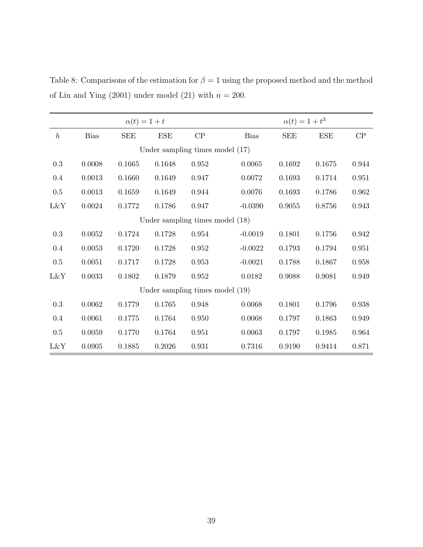Table 8: Comparisons of the estimation for  $\beta = 1$  using the proposed method and the method of Lin and Ying (2001) under model (21) with  $n = 200$ .

|                                   |             | $\alpha(t) = 1 + t$ |                                 |       | $\alpha(t) = 1 + t^3$ |            |            |       |  |
|-----------------------------------|-------------|---------------------|---------------------------------|-------|-----------------------|------------|------------|-------|--|
| $\boldsymbol{h}$                  | <b>Bias</b> | <b>SEE</b>          | <b>ESE</b>                      | CP    | <b>Bias</b>           | <b>SEE</b> | <b>ESE</b> | CP    |  |
| Under sampling times model $(17)$ |             |                     |                                 |       |                       |            |            |       |  |
| $\rm 0.3$                         | 0.0008      | 0.1665              | 0.1648                          | 0.952 | 0.0065                | 0.1692     | 0.1675     | 0.944 |  |
| $0.4\,$                           | 0.0013      | 0.1660              | 0.1649                          | 0.947 | 0.0072                | 0.1693     | 0.1714     | 0.951 |  |
| 0.5                               | 0.0013      | 0.1659              | 0.1649                          | 0.944 | 0.0076                | 0.1693     | 0.1786     | 0.962 |  |
| L&Y                               | 0.0024      | 0.1772              | 0.1786                          | 0.947 | $-0.0390$             | 0.9055     | 0.8756     | 0.943 |  |
| Under sampling times model (18)   |             |                     |                                 |       |                       |            |            |       |  |
| $\rm 0.3$                         | 0.0052      | 0.1724              | 0.1728                          | 0.954 | $-0.0019$             | 0.1801     | 0.1756     | 0.942 |  |
| 0.4                               | 0.0053      | 0.1720              | 0.1728                          | 0.952 | $-0.0022$             | 0.1793     | 0.1794     | 0.951 |  |
| 0.5                               | 0.0051      | 0.1717              | 0.1728                          | 0.953 | $-0.0021$             | 0.1788     | 0.1867     | 0.958 |  |
| L&Y                               | 0.0033      | 0.1802              | 0.1879                          | 0.952 | 0.0182                | 0.9088     | 0.9081     | 0.949 |  |
|                                   |             |                     | Under sampling times model (19) |       |                       |            |            |       |  |
| $\rm 0.3$                         | 0.0062      | 0.1779              | 0.1765                          | 0.948 | 0.0068                | 0.1801     | 0.1796     | 0.938 |  |
| $0.4\,$                           | 0.0061      | 0.1775              | 0.1764                          | 0.950 | 0.0068                | 0.1797     | 0.1863     | 0.949 |  |
| 0.5                               | 0.0059      | 0.1770              | 0.1764                          | 0.951 | 0.0063                | 0.1797     | 0.1985     | 0.964 |  |
| L&Y                               | 0.0905      | 0.1885              | 0.2026                          | 0.931 | 0.7316                | 0.9190     | 0.9414     | 0.871 |  |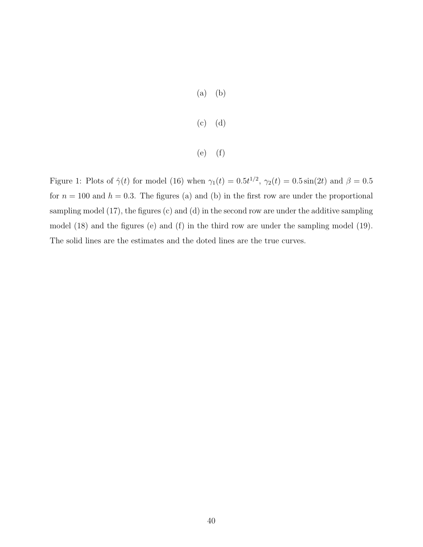- (a) (b)
- (c) (d)
- (e) (f)

Figure 1: Plots of  $\hat{\gamma}(t)$  for model (16) when  $\gamma_1(t) = 0.5t^{1/2}$ ,  $\gamma_2(t) = 0.5 \sin(2t)$  and  $\beta = 0.5$ for  $n = 100$  and  $h = 0.3$ . The figures (a) and (b) in the first row are under the proportional sampling model (17), the figures (c) and (d) in the second row are under the additive sampling model (18) and the figures (e) and (f) in the third row are under the sampling model (19). The solid lines are the estimates and the doted lines are the true curves.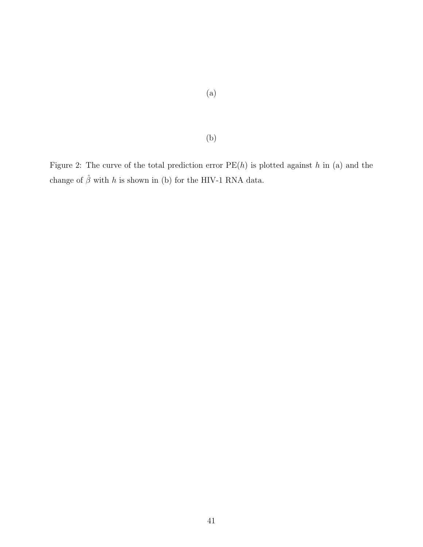Figure 2: The curve of the total prediction error  $PE(h)$  is plotted against h in (a) and the change of  $\hat{\beta}$  with  $h$  is shown in (b) for the HIV-1 RNA data.

(b)

# (a)